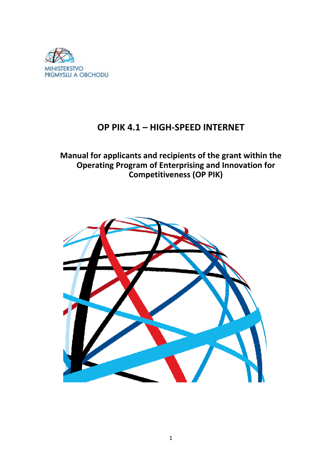

# **OP PIK 4.1 – HIGH-SPEED INTERNET**

**Manual for applicants and recipients of the grant within the Operating Program of Enterprising and Innovation for Competitiveness (OP PIK)**

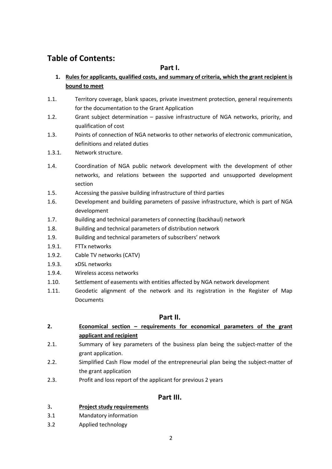# **Table of Contents:**

# **Part I.**

- **1. Rules for applicants, qualified costs, and summary of criteria, which the grant recipient is bound to meet**
- 1.1. Territory coverage, blank spaces, private investment protection, general requirements for the documentation to the Grant Application
- 1.2. Grant subject determination passive infrastructure of NGA networks, priority, and qualification of cost
- 1.3. Points of connection of NGA networks to other networks of electronic communication, definitions and related duties
- 1.3.1. Network structure.
- 1.4. Coordination of NGA public network development with the development of other networks, and relations between the supported and unsupported development section
- 1.5. Accessing the passive building infrastructure of third parties
- 1.6. Development and building parameters of passive infrastructure, which is part of NGA development
- 1.7. Building and technical parameters of connecting (backhaul) network
- 1.8. Building and technical parameters of distribution network
- 1.9. Building and technical parameters of subscribers' network
- 1.9.1. FTTx networks
- 1.9.2. Cable TV networks (CATV)
- 1.9.3. xDSL networks
- 1.9.4. Wireless access networks
- 1.10. Settlement of easements with entities affected by NGA network development
- 1.11. Geodetic alignment of the network and its registration in the Register of Map Documents

# **Part II.**

- **2. Economical section – requirements for economical parameters of the grant applicant and recipient**
- 2.1. Summary of key parameters of the business plan being the subject-matter of the grant application.
- 2.2. Simplified Cash Flow model of the entrepreneurial plan being the subject-matter of the grant application
- 2.3. Profit and loss report of the applicant for previous 2 years

# **Part III.**

### 3**. Project study requirements**

- 3.1 Mandatory information
- 3.2 Applied technology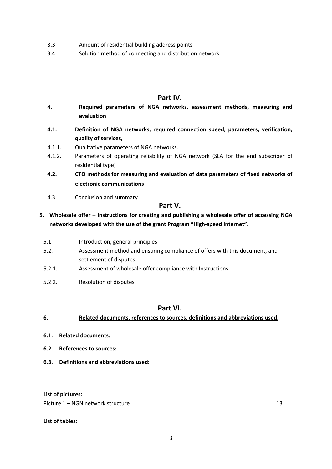- 3.3 Amount of residential building address points
- 3.4 Solution method of connecting and distribution network

# **Part IV.**

- 4**. Required parameters of NGA networks, assessment methods, measuring and evaluation**
- **4.1. Definition of NGA networks, required connection speed, parameters, verification, quality of services,**
- 4.1.1. Qualitative parameters of NGA networks.
- 4.1.2. Parameters of operating reliability of NGA network (SLA for the end subscriber of residential type)
- **4.2. CTO methods for measuring and evaluation of data parameters of fixed networks of electronic communications**
- 4.3. Conclusion and summary

# **Part V.**

# **5. Wholesale offer – Instructions for creating and publishing a wholesale offer of accessing NGA networks developed with the use of the grant Program "High-speed Internet".**

- 5.1 Introduction, general principles
- 5.2. Assessment method and ensuring compliance of offers with this document, and settlement of disputes
- 5.2.1. Assessment of wholesale offer compliance with Instructions
- 5.2.2. Resolution of disputes

# **Part VI.**

### **6. Related documents, references to sources, definitions and abbreviations used.**

- **6.1. Related documents:**
- **6.2. References to sources:**
- **6.3. Definitions and abbreviations used:**

### **List of pictures:**

Picture 1 – NGN network structure 13

**List of tables:**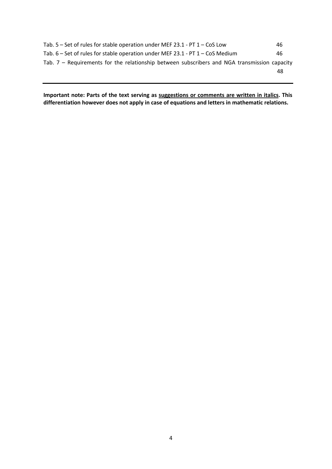| Tab. 5 – Set of rules for stable operation under MEF 23.1 - PT 1 – CoS Low                     | 46. |
|------------------------------------------------------------------------------------------------|-----|
| Tab. $6 - Set$ of rules for stable operation under MEF 23.1 - PT $1 - COS$ Medium              | 46. |
| Tab. $7$ – Requirements for the relationship between subscribers and NGA transmission capacity |     |
|                                                                                                | 48  |

**Important note: Parts of the text serving as suggestions or comments are written in italics. This differentiation however does not apply in case of equations and letters in mathematic relations.**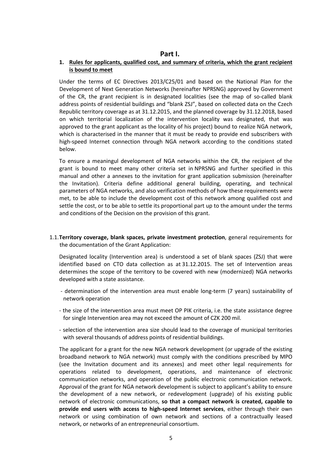### **Part I.**

### **1. Rules for applicants, qualified cost, and summary of criteria, which the grant recipient is bound to meet**

Under the terms of EC Directives 2013/C25/01 and based on the National Plan for the Development of Next Generation Networks (hereinafter NPRSNG) approved by Government of the CR, the grant recipient is in designated localities (see the map of so-called blank address points of residential buildings and "blank ZSJ", based on collected data on the Czech Republic territory coverage as at 31.12.2015, and the planned coverage by 31.12.2018, based on which territorial localization of the intervention locality was designated, that was approved to the grant applicant as the locality of his project) bound to realize NGA network, which is characterised in the manner that it must be ready to provide end subscribers with high-speed Internet connection through NGA network according to the conditions stated below.

To ensure a meaningul development of NGA networks within the CR, the recipient of the grant is bound to meet many other criteria set in NPRSNG and further specified in this manual and other a annexes to the invitation for grant application submission (hereinafter the Invitation). Criteria define additional general building, operating, and technical parameters of NGA networks, and also verification methods of how these requirements were met, to be able to include the development cost of this network among qualified cost and settle the cost, or to be able to settle its proportional part up to the amount under the terms and conditions of the Decision on the provision of this grant.

1.1.**Territory coverage, blank spaces, private investment protection**, general requirements for the documentation of the Grant Application:

Designated locality (Intervention area) is understood a set of blank spaces (ZSJ) that were identified based on CTO data collection as at 31.12.2015. The set of Intervention areas determines the scope of the territory to be covered with new (modernized) NGA networks developed with a state assistance.

- determination of the intervention area must enable long-term (7 years) sustainability of network operation
- the size of the intervention area must meet OP PIK criteria, i.e. the state assistance degree for single Intervention area may not exceed the amount of CZK 200 mil.
- selection of the intervention area size should lead to the coverage of municipal territories with several thousands of address points of residential buildings.

The applicant for a grant for the new NGA network development (or upgrade of the existing broadband network to NGA network) must comply with the conditions prescribed by MPO (see the Invitation document and its annexes) and meet other legal requirements for operations related to development, operations, and maintenance of electronic communication networks, and operation of the public electronic communication network. Approval of the grant for NGA network development is subject to applicant's ability to ensure the development of a new network, or redevelopment (upgrade) of his existing public network of electronic communications, **so that a compact network is created, capable to provide end users with access to high-speed Internet services**, either through their own network or using combination of own network and sections of a contractually leased network, or networks of an entrepreneurial consortium.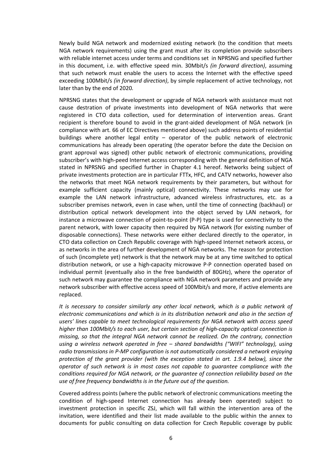Newly build NGA network and modernized existing network (to the condition that meets NGA network requirements) using the grant must after its completion provide subscribers with reliable internet access under terms and conditions set in NPRSNG and specified further in this document, i.e. with effective speed min. 30Mbit/s *(in forward direction)*, assuming that such network must enable the users to access the Internet with the effective speed exceeding 100Mbit/s *(in forward direction)*, by simple replacement of active technology, not later than by the end of 2020*.*

NPRSNG states that the development or upgrade of NGA network with assistance must not cause destration of private investments into development of NGA networks that were registered in CTO data collection, used for determination of intervention areas. Grant recipient is therefore bound to avoid in the grant-aided development of NGA network (in compliance with art. 66 of EC Directives mentioned above) such address points of residential buildings where another legal entity – operator of the public network of electronic communications has already been operating (the operator before the date the Decision on grant approval was signed) other public network of electronic communications, providing subscriber's with high-peed Internet access corresponding with the general definition of NGA stated in NPRSNG and specified further in Chapter 4.1 hereof. Networks being subject of private investments protection are in particular FTTx, HFC, and CATV networks, however also the networks that meet NGA network requirements by their parameters, but without for example sufficient capacity (mainly optical) connectivity. These networks may use for example the LAN network infrastructure, advanced wireless infrastructures, etc. as a subscriber premises network, even in case when, until the time of connecting (backhaul) or distribution optical network development into the object served by LAN network, for instance a microwave connection of point-to-point (P-P) type is used for connectivity to the parent network, with lower capacity then required by NGA network (for existing number of disposable connections). These networks were either declared directly to the operator, in CTO data collection on Czech Republic coverage with high-speed Internet network access, or as networks in the area of further development of NGA networks. The reason for protection of such (incomplete yet) network is that the network may be at any time switched to optical distribution network, or use a high-capacity microwave P-P connection operated based on individual permit (eventually also in the free bandwidth of 80GHz), where the operator of such network may guarantee the compliance with NGA network parameters and provide any network subscriber with effective access speed of 100Mbit/s and more, if active elements are replaced.

*It is necessary to consider similarly any other local network, which is a public network of electronic communications and which is in its distribution network and also in the section of users' lines capable to meet technological requirements for NGA network with access speed higher than 100Mbit/s to each user, but certain section of high-capacity optical connection is missing, so that the integral NGA network cannot be realized. On the contrary, connection using a wireless network operated in free – shared bandwidths ("WIFI" technology), using radio transmissions in P-MP configuration is not automatically considered a network enjoying protection of the grant provider (with the exception stated in art. 1.9.4 below), since the operator of such network is in most cases not capable to guarantee compliance with the conditions required for NGA network, or the guarantee of connection reliability based on the use of free frequency bandwidths is in the future out of the question.*

Covered address points (where the public network of electronic communications meeting the condition of high-speed Internet connection has already been operated) subject to investment protection in specific ZSJ, which will fall within the intervention area of the invitation, were identified and their list made available to the public within the annex to documents for public consulting on data collection for Czech Republic coverage by public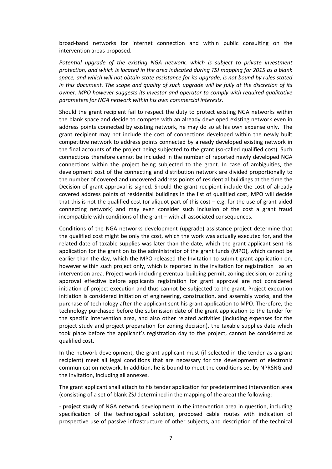broad-band networks for internet connection and within public consulting on the intervention areas proposed.

*Potential upgrade of the existing NGA network, which is subject to private investment protection, and which is located in the area indicated during TSJ mapping for 2015 as a blank space, and which will not obtain state assistance for its upgrade, is not bound by rules stated in this document. The scope and quality of such upgrade will be fully at the discretion of its owner. MPO however suggests its investor and operator to comply with required qualitative parameters for NGA network within his own commercial interests.*

Should the grant recipient fail to respect the duty to protect existing NGA networks within the blank space and decide to compete with an already developed existing network even in address points connected by existing network, he may do so at his own expense only. The grant recipient may not include the cost of connections developed within the newly built competitive network to address points connected by already developed existing network in the final accounts of the project being subjected to the grant (so-called qualified cost). Such connections therefore cannot be included in the number of reported newly developed NGA connections within the project being subjected to the grant. In case of ambiguities, the development cost of the connecting and distribution network are divided proportionally to the number of covered and uncovered address points of residential buildings at the time the Decision of grant approval is signed. Should the grant recipient include the cost of already covered address points of residential buildings in the list of qualified cost, MPO will decide that this is not the qualified cost (or aliquot part of this cost – e.g. for the use of grant-aided connecting network) and may even consider such inclusion of the cost a grant fraud incompatible with conditions of the grant – with all associated consequences.

Conditions of the NGA networks development (upgrade) assistance project determine that the qualified cost might be only the cost, which the work was actually executed for, and the related date of taxable supplies was later than the date, which the grant applicant sent his application for the grant on to the administrator of the grant funds (MPO), which cannot be earlier than the day, which the MPO released the Invitation to submit grant application on, however within such project only, which is reported in the invitation for registration as an intervention area. Project work including eventual building permit, zoning decision, or zoning approval effective before applicants registration for grant approval are not considered initiation of project execution and thus cannot be subjected to the grant. Project execution initiation is considered initiation of engineering, construction, and assembly works, and the purchase of technology after the applicant sent his grant application to MPO. Therefore, the technology purchased before the submission date of the grant application to the tender for the specific intervention area, and also other related activities (including expenses for the project study and project preparation for zoning decision), the taxable supplies date which took place before the applicant's registration day to the project, cannot be considered as qualified cost.

In the network development, the grant applicant must (if selected in the tender as a grant recipient) meet all legal conditions that are necessary for the development of electronic communication network. In addition, he is bound to meet the conditions set by NPRSNG and the Invitation, including all annexes.

The grant applicant shall attach to his tender application for predetermined intervention area (consisting of a set of blank ZSJ determined in the mapping of the area) the following:

- **project study** of NGA network development in the intervention area in question, including specification of the technological solution, proposed cable routes with indication of prospective use of passive infrastructure of other subjects, and description of the technical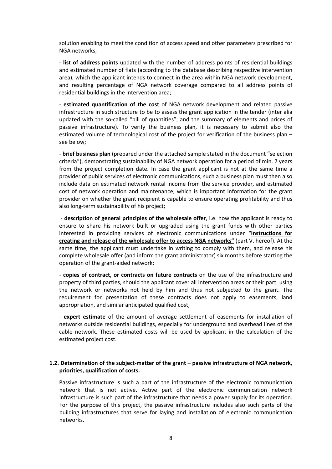solution enabling to meet the condition of access speed and other parameters prescribed for NGA networks;

- **list of address points** updated with the number of address points of residential buildings and estimated number of flats (according to the database describing respective intervention area), which the applicant intends to connect in the area within NGA network development, and resulting percentage of NGA network coverage compared to all address points of residential buildings in the intervention area;

- **estimated quantification of the cost** of NGA network development and related passive infrastructure in such structure to be to assess the grant application in the tender (inter alia updated with the so-called "bill of quantities", and the summary of elements and prices of passive infrastructure). To verify the business plan, it is necessary to submit also the estimated volume of technological cost of the project for verification of the business plan – see below;

- **brief business plan** (prepared under the attached sample stated in the document "selection criteria"), demonstrating sustainability of NGA network operation for a period of min. 7 years from the project completion date. In case the grant applicant is not at the same time a provider of public services of electronic communications, such a business plan must then also include data on estimated network rental income from the service provider, and estimated cost of network operation and maintenance, which is important information for the grant provider on whether the grant recipient is capable to ensure operating profitability and thus also long-term sustainability of his project;

- **description of general principles of the wholesale offer**, i.e. how the applicant is ready to ensure to share his network built or upgraded using the grant funds with other parties interested in providing services of electronic communications under "**Instructions for creating and release of the wholesale offer to access NGA networks"** (part V. hereof). At the same time, the applicant must undertake in writing to comply with them, and release his complete wholesale offer (and inform the grant administrator) six months before starting the operation of the grant-aided network;

- **copies of contract, or contracts on future contracts** on the use of the infrastructure and property of third parties, should the applicant cover all intervention areas or their part using the network or networks not held by him and thus not subjected to the grant. The requirement for presentation of these contracts does not apply to easements, land appropriation, and similar anticipated qualified cost;

- **expert estimate** of the amount of average settlement of easements for installation of networks outside residential buildings, especially for underground and overhead lines of the cable network. These estimated costs will be used by applicant in the calculation of the estimated project cost.

#### **1.2. Determination of the subject-matter of the grant – passive infrastructure of NGA network, priorities, qualification of costs.**

Passive infrastructure is such a part of the infrastructure of the electronic communication network that is not active. Active part of the electronic communication network infrastructure is such part of the infrastructure that needs a power supply for its operation. For the purpose of this project, the passive infrastructure includes also such parts of the building infrastructures that serve for laying and installation of electronic communication networks.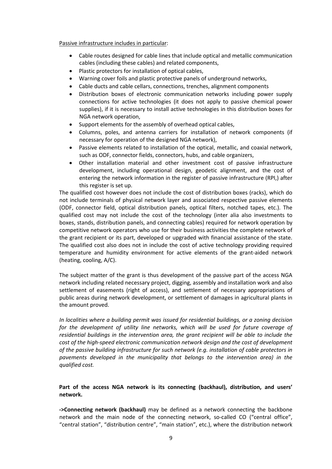#### Passive infrastructure includes in particular:

- Cable routes designed for cable lines that include optical and metallic communication cables (including these cables) and related components,
- Plastic protectors for installation of optical cables,
- Warning cover foils and plastic protective panels of underground networks,
- Cable ducts and cable cellars, connections, trenches, alignment components
- Distribution boxes of electronic communication networks including power supply connections for active technologies (it does not apply to passive chemical power supplies), if it is necessary to install active technologies in this distribution boxes for NGA network operation,
- Support elements for the assembly of overhead optical cables,
- Columns, poles, and antenna carriers for installation of network components (if necessary for operation of the designed NGA network),
- Passive elements related to installation of the optical, metallic, and coaxial network, such as ODF, connector fields, connectors, hubs, and cable organizers,
- Other installation material and other investment cost of passive infrastructure development, including operational design, geodetic alignment, and the cost of entering the network information in the register of passive infrastructure (RPI,) after this register is set up.

The qualified cost however does not include the cost of distribution boxes (racks), which do not include terminals of physical network layer and associated respective passive elements (ODF, connector field, optical distribution panels, optical filters, notched tapes, etc.). The qualified cost may not include the cost of the technology (inter alia also investments to boxes, stands, distribution panels, and connecting cables) required for network operation by competitive network operators who use for their business activities the complete network of the grant recipient or its part, developed or upgraded with financial assistance of the state. The qualified cost also does not in include the cost of active technology providing required temperature and humidity environment for active elements of the grant-aided network (heating, cooling, A/C).

The subject matter of the grant is thus development of the passive part of the access NGA network including related necessary project, digging, assembly and installation work and also settlement of easements (right of access), and settlement of necessary appropriations of public areas during network development, or settlement of damages in agricultural plants in the amount proved.

*In localities where a building permit was issued for residential buildings, or a zoning decision for the development of utility line networks, which will be used for future coverage of residential buildings in the intervention area, the grant recipient will be able to include the cost of the high-speed electronic communication network design and the cost of development of the passive building infrastructure for such network (e.g. installation of cable protectors in pavements developed in the municipality that belongs to the intervention area) in the qualified cost.*

### **Part of the access NGA network is its connecting (backhaul), distribution, and users' network.**

**->Connecting network (backhaul)** may be defined as a network connecting the backbone network and the main node of the connecting network, so-called CO ("central office", "central station", "distribution centre", "main station", etc.), where the distribution network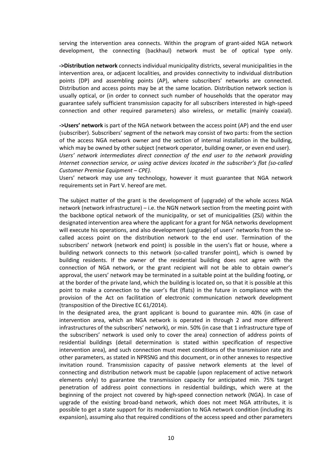serving the intervention area connects. Within the program of grant-aided NGA network development, the connecting (backhaul) network must be of optical type only.

**->Distribution network** connects individual municipality districts, several municipalities in the intervention area, or adjacent localities, and provides connectivity to individual distribution points (DP) and assembling points (AP), where subscribers' networks are connected. Distribution and access points may be at the same location. Distribution network section is usually optical, or (in order to connect such number of households that the operator may guarantee safely sufficient transmission capacity for all subscribers interested in high-speed connection and other required parameters) also wireless, or metallic (mainly coaxial).

**->Users' network** is part of the NGA network between the access point (AP) and the end user (subscriber). Subscribers' segment of the network may consist of two parts: from the section of the access NGA network owner and the section of internal installation in the building, which may be owned by other subject (network operator, building owner, or even end user). *Users' network intermediates direct connection of the end user to the network providing Internet connection service, or using active devices located in the subscriber's flat (so-called Customer Premise Equipment – CPE).*

Users' network may use any technology, however it must guarantee that NGA network requirements set in Part V. hereof are met.

The subject matter of the grant is the development of (upgrade) of the whole access NGA network (network infrastructure) – i.e. the NGN network section from the meeting point with the backbone optical network of the municipality, or set of municipalities (ZSJ) within the designated intervention area where the applicant for a grant for NGA networks development will execute his operations, and also development (upgrade) of users' networks from the socalled access point on the distribution network to the end user. Termination of the subscribers' network (network end point) is possible in the users's flat or house, where a building network connects to this network (so-called transfer point), which is owned by building residents. If the owner of the residential building does not agree with the connection of NGA network, or the grant recipient will not be able to obtain owner's approval, the users' network may be terminated in a suitable point at the building footing, or at the border of the private land, which the building is located on, so that it is possible at this point to make a connection to the user's flat (flats) in the future in compliance with the provision of the Act on facilitation of electronic communication network development (transposition of the Directive EC 61/2014).

In the designated area, the grant applicant is bound to guarantee min. 40% (in case of intervention area, which an NGA network is operated in through 2 and more different infrastructures of the subscribers' network), or min. 50% (in case that 1 infrastructure type of the subscribers' network is used only to cover the area) connection of address points of residential buildings (detail determination is stated within specification of respective intervention area), and such connection must meet conditions of the transmission rate and other parameters, as stated in NPRSNG and this document, or in other annexes to respective invitation round. Transmission capacity of passive network elements at the level of connecting and distribution network must be capable (upon replacement of active network elements only) to guarantee the transmission capacity for anticipated min. 75% target penetration of address point connections in residential buildings, which were at the beginning of the project not covered by high-speed connection network (NGA). In case of upgrade of the existing broad-band network, which does not meet NGA attributes, it is possible to get a state support for its modernization to NGA network condition (including its expansion), assuming also that required conditions of the access speed and other parameters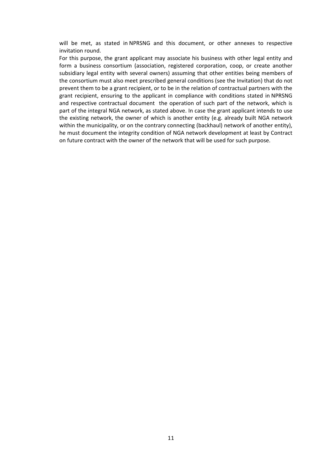will be met, as stated in NPRSNG and this document, or other annexes to respective invitation round.

For this purpose, the grant applicant may associate his business with other legal entity and form a business consortium (association, registered corporation, coop, or create another subsidiary legal entity with several owners) assuming that other entities being members of the consortium must also meet prescribed general conditions (see the Invitation) that do not prevent them to be a grant recipient, or to be in the relation of contractual partners with the grant recipient, ensuring to the applicant in compliance with conditions stated in NPRSNG and respective contractual document the operation of such part of the network, which is part of the integral NGA network, as stated above. In case the grant applicant intends to use the existing network, the owner of which is another entity (e.g. already built NGA network within the municipality, or on the contrary connecting (backhaul) network of another entity), he must document the integrity condition of NGA network development at least by Contract on future contract with the owner of the network that will be used for such purpose.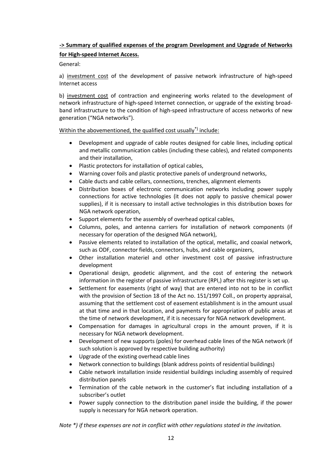# **-> Summary of qualified expenses of the program Development and Upgrade of Networks for High-speed Internet Access.**

General:

a) investment cost of the development of passive network infrastructure of high-speed Internet access

b) investment cost of contraction and engineering works related to the development of network infrastructure of high-speed Internet connection, or upgrade of the existing broadband infrastructure to the condition of high-speed infrastructure of access networks of new generation ("NGA networks").

### Within the abovementioned, the qualified cost usually<sup>\*)</sup> include:

- Development and upgrade of cable routes designed for cable lines, including optical and metallic communication cables (including these cables), and related components and their installation,
- Plastic protectors for installation of optical cables,
- Warning cover foils and plastic protective panels of underground networks,
- Cable ducts and cable cellars, connections, trenches, alignment elements
- Distribution boxes of electronic communication networks including power supply connections for active technologies (it does not apply to passive chemical power supplies), if it is necessary to install active technologies in this distribution boxes for NGA network operation,
- Support elements for the assembly of overhead optical cables,
- Columns, poles, and antenna carriers for installation of network components (if necessary for operation of the designed NGA network),
- Passive elements related to installation of the optical, metallic, and coaxial network, such as ODF, connector fields, connectors, hubs, and cable organizers,
- Other installation materiel and other investment cost of passive infrastructure development
- Operational design, geodetic alignment, and the cost of entering the network information in the register of passive infrastructure (RPI,) after this register is set up.
- Settlement for easements (right of way) that are entered into not to be in conflict with the provision of Section 18 of the Act no. 151/1997 Coll., on property appraisal, assuming that the settlement cost of easement establishment is in the amount usual at that time and in that location, and payments for appropriation of public areas at the time of network development, if it is necessary for NGA network development.
- Compensation for damages in agricultural crops in the amount proven, if it is necessary for NGA network development.
- Development of new supports (poles) for overhead cable lines of the NGA network (if such solution is approved by respective building authority)
- Upgrade of the existing overhead cable lines
- Network connection to buildings (blank address points of residential buildings)
- Cable network installation inside residential buildings including assembly of required distribution panels
- Termination of the cable network in the customer's flat including installation of a subscriber's outlet
- Power supply connection to the distribution panel inside the building, if the power supply is necessary for NGA network operation.

*Note \*) if these expenses are not in conflict with other regulations stated in the invitation.*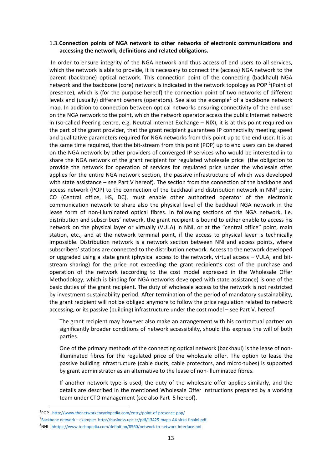#### 1.3.**Connection points of NGA network to other networks of electronic communications and accessing the network, definitions and related obligations.**

In order to ensure integrity of the NGA network and thus access of end users to all services, which the network is able to provide, it is necessary to connect the (access) NGA network to the parent (backbone) optical network. This connection point of the connecting (backhaul) NGA network and the backbone (core) network is indicated in the network topology as POP<sup>1</sup>(Point of presence), which is (for the purpose hereof) the connection point of two networks of different levels and (usually) different owners (operators). See also the example<sup>2</sup> of a backbone network map. In addition to connection between optical networks ensuring connectivity of the end user on the NGA network to the point, which the network operator access the public Internet network in (so-called Peering centre, e.g. Neutral Internet Exchange – NIX), it is at this point required on the part of the grant provider, that the grant recipient guarantees IP connectivity meeting speed and qualitative parameters required for NGA networks from this point up to the end user. It is at the same time required, that the bit-stream from this point (POP) up to end users can be shared on the NGA network by other providers of converged IP services who would be interested in to share the NGA network of the grant recipient for regulated wholesale price (the obligation to provide the network for operation of services for regulated price under the wholesale offer applies for the entire NGA network section, the passive infrastructure of which was developed with state assistance – see Part V hereof). The section from the connection of the backbone and access network (POP) to the connection of the backhaul and distribution network in NNI<sup>3</sup> point CO (Central office, HS, DC), must enable other authorized operator of the electronic communication network to share also the physical level of the backhaul NGA network in the lease form of non-illuminated optical fibres. In following sections of the NGA network, i.e. distribution and subscribers' network, the grant recipient is bound to either enable to access his network on the physical layer or virtually (VULA) in NNI, or at the "central office" point, main station, etc., and at the network terminal point, if the access to physical layer is technically impossible. Distribution network is a network section between NNI and access points, where subscribers' stations are connected to the distribution network. Access to the network developed or upgraded using a state grant (physical access to the network, virtual access – VULA, and bitstream sharing) for the price not exceeding the grant recipient's cost of the purchase and operation of the network (according to the cost model expressed in the Wholesale Offer Methodology, which is binding for NGA networks developed with state assistance) is one of the basic duties of the grant recipient. The duty of wholesale access to the network is not restricted by investment sustainability period. After termination of the period of mandatory sustainability, the grant recipient will not be obliged anymore to follow the price regulation related to network accessing, or its passive (building) infrastructure under the cost model – see Part V. hereof.

The grant recipient may however also make an arrangement with his contractual partner on significantly broader conditions of network accessibility, should this express the will of both parties.

One of the primary methods of the connecting optical network (backhaul) is the lease of nonilluminated fibres for the regulated price of the wholesale offer. The option to lease the passive building infrastructure (cable ducts, cable protectors, and micro-tubes) is supported by grant administrator as an alternative to the lease of non-illuminated fibres.

If another network type is used, the duty of the wholesale offer applies similarly, and the details are described in the mentioned Wholesale Offer Instructions prepared by a working team under CTO management (see also Part 5 hereof).

 $\overline{a}$ 

<sup>1</sup> POP - http://www.thenetworkencyclopedia.com/entry/point-of-presence-pop/

<sup>2</sup> Backbone network – example: http://business.upc.cz/pdf/13425-mapa-A4-sirka-finalni.pdf

<sup>3</sup>NNI - hhttps://www.techopedia.com/definition/8560/network-to-network-interface-nni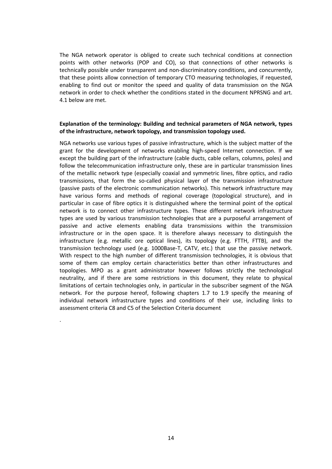The NGA network operator is obliged to create such technical conditions at connection points with other networks (POP and CO), so that connections of other networks is technically possible under transparent and non-discriminatory conditions, and concurrently, that these points allow connection of temporary CTO measuring technologies, if requested, enabling to find out or monitor the speed and quality of data transmission on the NGA network in order to check whether the conditions stated in the document NPRSNG and art. 4.1 below are met.

#### **Explanation of the terminology: Building and technical parameters of NGA network, types of the infrastructure, network topology, and transmission topology used.**

NGA networks use various types of passive infrastructure, which is the subject matter of the grant for the development of networks enabling high-speed Internet connection. If we except the building part of the infrastructure (cable ducts, cable cellars, columns, poles) and follow the telecommunication infrastructure only, these are in particular transmission lines of the metallic network type (especially coaxial and symmetric lines, fibre optics, and radio transmissions, that form the so-called physical layer of the transmission infrastructure (passive pasts of the electronic communication networks). This network infrastructure may have various forms and methods of regional coverage (topological structure), and in particular in case of fibre optics it is distinguished where the terminal point of the optical network is to connect other infrastructure types. These different network infrastructure types are used by various transmission technologies that are a purposeful arrangement of passive and active elements enabling data transmissions within the transmission infrastructure or in the open space. It is therefore always necessary to distinguish the infrastructure (e.g. metallic ore optical lines), its topology (e.g. FTTH, FTTB), and the transmission technology used (e.g. 1000Base-T, CATV, etc.) that use the passive network. With respect to the high number of different transmission technologies, it is obvious that some of them can employ certain characteristics better than other infrastructures and topologies. MPO as a grant administrator however follows strictly the technological neutrality, and if there are some restrictions in this document, they relate to physical limitations of certain technologies only, in particular in the subscriber segment of the NGA network. For the purpose hereof, following chapters 1.7 to 1.9 specify the meaning of individual network infrastructure types and conditions of their use, including links to assessment criteria C8 and C5 of the Selection Criteria document

.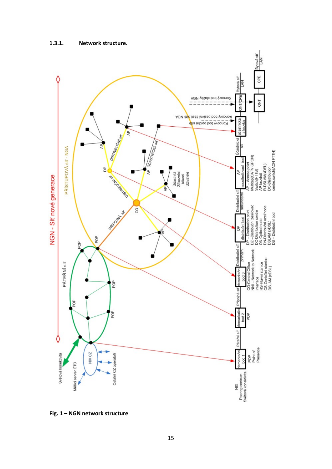

**Fig. 1 – NGN network structure**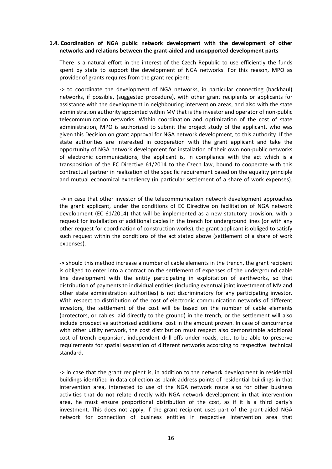#### **1.4. Coordination of NGA public network development with the development of other networks and relations between the grant-aided and unsupported development parts**

There is a natural effort in the interest of the Czech Republic to use efficiently the funds spent by state to support the development of NGA networks. For this reason, MPO as provider of grants requires from the grant recipient:

**->** to coordinate the development of NGA networks, in particular connecting (backhaul) networks, if possible, (suggested procedure), with other grant recipients or applicants for assistance with the development in neighbouring intervention areas, and also with the state administration authority appointed within MV that is the investor and operator of non-public telecommunication networks. Within coordination and optimization of the cost of state administration, MPO is authorized to submit the project study of the applicant, who was given this Decision on grant approval for NGA network development, to this authority. If the state authorities are interested in cooperation with the grant applicant and take the opportunity of NGA network development for installation of their own non-public networks of electronic communications, the applicant is, in compliance with the act which is a transposition of the EC Directive 61/2014 to the Czech law, bound to cooperate with this contractual partner in realization of the specific requirement based on the equality principle and mutual economical expediency (in particular settlement of a share of work expenses).

**->** in case that other investor of the telecommunication network development approaches the grant applicant, under the conditions of EC Directive on facilitation of NGA network development (EC 61/2014) that will be implemented as a new statutory provision, with a request for installation of additional cables in the trench for underground lines (or with any other request for coordination of construction works), the grant applicant is obliged to satisfy such request within the conditions of the act stated above (settlement of a share of work expenses).

**->** should this method increase a number of cable elements in the trench, the grant recipient is obliged to enter into a contract on the settlement of expenses of the underground cable line development with the entity participating in exploitation of earthworks, so that distribution of payments to individual entities (including eventual joint investment of MV and other state administration authorities) is not discriminatory for any participating investor. With respect to distribution of the cost of electronic communication networks of different investors, the settlement of the cost will be based on the number of cable elements (protectors, or cables laid directly to the ground) in the trench, or the settlement will also include prospective authorized additional cost in the amount proven. In case of concurrence with other utility network, the cost distribution must respect also demonstrable additional cost of trench expansion, independent drill-offs under roads, etc., to be able to preserve requirements for spatial separation of different networks according to respective technical standard.

**->** in case that the grant recipient is, in addition to the network development in residential buildings identified in data collection as blank address points of residential buildings in that intervention area, interested to use of the NGA network route also for other business activities that do not relate directly with NGA network development in that intervention area, he must ensure proportional distribution of the cost, as if it is a third party's investment. This does not apply, if the grant recipient uses part of the grant-aided NGA network for connection of business entities in respective intervention area that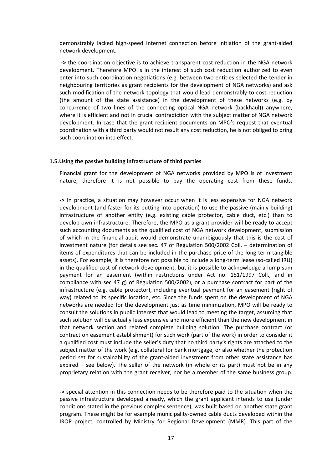demonstrably lacked high-speed Internet connection before initiation of the grant-aided network development.

**->** the coordination objective is to achieve transparent cost reduction in the NGA network development. Therefore MPO is in the interest of such cost reduction authorized to even enter into such coordination negotiations (e.g. between two entities selected the tender in neighbouring territories as grant recipients for the development of NGA networks) and ask such modification of the network topology that would lead demonstrably to cost reduction (the amount of the state assistance) in the development of these networks (e.g. by concurrence of two lines of the connecting optical NGA network (backhaul)) anywhere, where it is efficient and not in crucial contradiction with the subject matter of NGA network development. In case that the grant recipient documents on MPO's request that eventual coordination with a third party would not result any cost reduction, he is not obliged to bring such coordination into effect.

#### **1.5.Using the passive building infrastructure of third parties**

Financial grant for the development of NGA networks provided by MPO is of investment nature; therefore it is not possible to pay the operating cost from these funds.

**->** In practice, a situation may however occur when it is less expensive for NGA network development (and faster for its putting into operation) to use the passive (mainly building) infrastructure of another entity (e.g. existing cable protector, cable duct, etc.) than to develop own infrastructure. Therefore, the MPO as a grant provider will be ready to accept such accounting documents as the qualified cost of NGA network development, submission of which in the financial audit would demonstrate unambiguously that this is the cost of investment nature (for details see sec. 47 of Regulation 500/2002 Coll. – determination of items of expenditures that can be included in the purchase price of the long-term tangible assets). For example, it is therefore not possible to include a long-term lease (so-called IRU) in the qualified cost of network development, but it is possible to acknowledge a lump-sum payment for an easement (within restrictions under Act no. 151/1997 Coll., and in compliance with sec 47 g) of Regulation 500/2002), or a purchase contract for part of the infrastructure (e.g. cable protector), including eventual payment for an easement (right of way) related to its specific location, etc. Since the funds spent on the development of NGA networks are needed for the development just as time minimization, MPO will be ready to consult the solutions in public interest that would lead to meeting the target, assuming that such solution will be actually less expensive and more efficient than the new development in that network section and related complete building solution. The purchase contract (or contract on easement establishment) for such work (part of the work) in order to consider it a qualified cost must include the seller's duty that no third party's rights are attached to the subject matter of the work (e.g. collateral for bank mortgage, or also whether the protection period set for sustainability of the grant-aided investment from other state assistance has expired – see below). The seller of the network (in whole or its part) must not be in any proprietary relation with the grant receiver, nor be a member of the same business group.

**->** special attention in this connection needs to be therefore paid to the situation when the passive infrastructure developed already, which the grant applicant intends to use (under conditions stated in the previous complex sentence), was built based on another state grant program. These might be for example municipality-owned cable ducts developed within the IROP project, controlled by Ministry for Regional Development (MMR). This part of the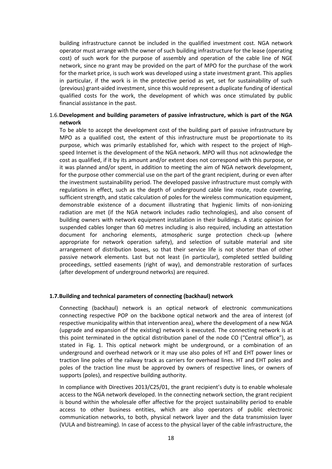building infrastructure cannot be included in the qualified investment cost. NGA network operator must arrange with the owner of such building infrastructure for the lease (operating cost) of such work for the purpose of assembly and operation of the cable line of NGE network, since no grant may be provided on the part of MPO for the purchase of the work for the market price, is such work was developed using a state investment grant. This applies in particular, if the work is in the protective period as yet, set for sustainability of such (previous) grant-aided investment, since this would represent a duplicate funding of identical qualified costs for the work, the development of which was once stimulated by public financial assistance in the past.

#### 1.6.**Development and building parameters of passive infrastructure, which is part of the NGA network**

To be able to accept the development cost of the building part of passive infrastructure by MPO as a qualified cost, the extent of this infrastructure must be proportionate to its purpose, which was primarily established for, which with respect to the project of Highspeed Internet is the development of the NGA network. MPO will thus not acknowledge the cost as qualified, if it by its amount and/or extent does not correspond with this purpose, or it was planned and/or spent, in addition to meeting the aim of NGA network development, for the purpose other commercial use on the part of the grant recipient, during or even after the investment sustainability period. The developed passive infrastructure must comply with regulations in effect, such as the depth of underground cable line route, route covering, sufficient strength, and static calculation of poles for the wireless communication equipment, demonstrable existence of a document illustrating that hygienic limits of non-ionizing radiation are met (if the NGA network includes radio technologies), and also consent of building owners with network equipment installation in their buildings. A static opinion for suspended cables longer than 60 metres including is also required, including an attestation document for anchoring elements, atmospheric surge protection check-up (where appropriate for network operation safety), and selection of suitable material and site arrangement of distribution boxes, so that their service life is not shorter than of other passive network elements. Last but not least (in particular), completed settled building proceedings, settled easements (right of way), and demonstrable restoration of surfaces (after development of underground networks) are required.

#### **1.7.Building and technical parameters of connecting (backhaul) network**

Connecting (backhaul) network is an optical network of electronic communications connecting respective POP on the backbone optical network and the area of interest (of respective municipality within that intervention area), where the development of a new NGA (upgrade and expansion of the existing) network is executed. The connecting network is at this point terminated in the optical distribution panel of the node CO ("Central office"), as stated in Fig. 1. This optical network might be underground, or a combination of an underground and overhead network or it may use also poles of HT and EHT power lines or traction line poles of the railway track as carriers for overhead lines. HT and EHT poles and poles of the traction line must be approved by owners of respective lines, or owners of supports (poles), and respective building authority.

In compliance with Directives 2013/C25/01, the grant recipient's duty is to enable wholesale access to the NGA network developed. In the connecting network section, the grant recipient is bound within the wholesale offer affective for the project sustainability period to enable access to other business entities, which are also operators of public electronic communication networks, to both, physical network layer and the data transmission layer (VULA and bistreaming). In case of access to the physical layer of the cable infrastructure, the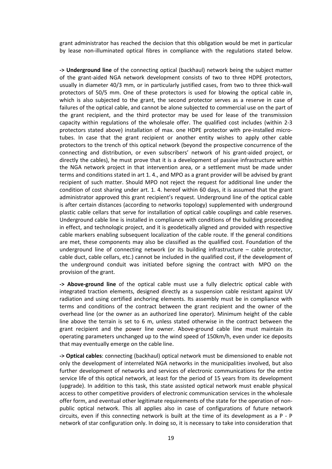grant administrator has reached the decision that this obligation would be met in particular by lease non-illuminated optical fibres in compliance with the regulations stated below.

**-> Underground line** of the connecting optical (backhaul) network being the subject matter of the grant-aided NGA network development consists of two to three HDPE protectors, usually in diameter 40/3 mm, or in particularly justified cases, from two to three thick-wall protectors of 50/5 mm. One of these protectors is used for blowing the optical cable in, which is also subjected to the grant, the second protector serves as a reserve in case of failures of the optical cable, and cannot be alone subjected to commercial use on the part of the grant recipient, and the third protector may be used for lease of the transmission capacity within regulations of the wholesale offer. The qualified cost includes (within 2-3 protectors stated above) installation of max. one HDPE protector with pre-installed microtubes. In case that the grant recipient or another entity wishes to apply other cable protectors to the trench of this optical network (beyond the prospective concurrence of the connecting and distribution, or even subscribers' network of his grant-aided project, or directly the cables), he must prove that it is a development of passive infrastructure within the NGA network project in that intervention area, or a settlement must be made under terms and conditions stated in art 1. 4., and MPO as a grant provider will be advised by grant recipient of such matter. Should MPO not reject the request for additional line under the condition of cost sharing under art. 1. 4. hereof within 60 days, it is assumed that the grant administrator approved this grant recipient's request. Underground line of the optical cable is after certain distances (according to networks topology) supplemented with underground plastic cable cellars that serve for installation of optical cable couplings and cable reserves. Underground cable line is installed in compliance with conditions of the building proceeding in effect, and technologic project, and it is geodetically aligned and provided with respective cable markers enabling subsequent localization of the cable route. If the general conditions are met, these components may also be classified as the qualified cost. Foundation of the underground line of connecting network (or its building infrastructure – cable protector, cable duct, cable cellars, etc.) cannot be included in the qualified cost, if the development of the underground conduit was initiated before signing the contract with MPO on the provision of the grant.

**-> Above-ground line** of the optical cable must use a fully dielectric optical cable with integrated traction elements, designed directly as a suspension cable resistant against UV radiation and using certified anchoring elements. Its assembly must be in compliance with terms and conditions of the contract between the grant recipient and the owner of the overhead line (or the owner as an authorized line operator). Minimum height of the cable line above the terrain is set to 6 m, unless stated otherwise in the contract between the grant recipient and the power line owner. Above-ground cable line must maintain its operating parameters unchanged up to the wind speed of 150km/h, even under ice deposits that may eventually emerge on the cable line.

**-> Optical cables**: connecting (backhaul) optical network must be dimensioned to enable not only the development of interrelated NGA networks in the municipalities involved, but also further development of networks and services of electronic communications for the entire service life of this optical network, at least for the period of 15 years from its development (upgrade). In addition to this task, this state assisted optical network must enable physical access to other competitive providers of electronic communication services in the wholesale offer form, and eventual other legitimate requirements of the state for the operation of nonpublic optical network. This all applies also in case of configurations of future network circuits, even if this connecting network is built at the time of its development as a P - P network of star configuration only. In doing so, it is necessary to take into consideration that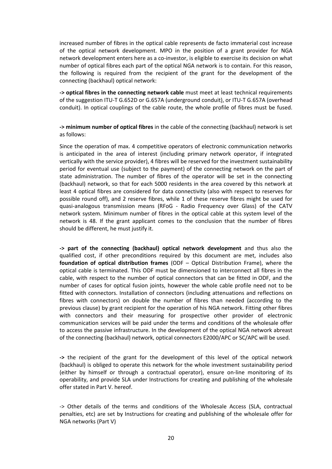increased number of fibres in the optical cable represents de facto immaterial cost increase of the optical network development. MPO in the position of a grant provider for NGA network development enters here as a co-investor, is eligible to exercise its decision on what number of optical fibres each part of the optical NGA network is to contain. For this reason, the following is required from the recipient of the grant for the development of the connecting (backhaul) optical network:

**-> optical fibres in the connecting network cable** must meet at least technical requirements of the suggestion ITU-T G.652D or G.657A (underground conduit), or ITU-T G.657A (overhead conduit). In optical couplings of the cable route, the whole profile of fibres must be fused.

**-> minimum number of optical fibres** in the cable of the connecting (backhaul) network is set as follows:

Since the operation of max. 4 competitive operators of electronic communication networks is anticipated in the area of interest (including primary network operator, if integrated vertically with the service provider), 4 fibres will be reserved for the investment sustainability period for eventual use (subject to the payment) of the connecting network on the part of state administration. The number of fibres of the operator will be set in the connecting (backhaul) network, so that for each 5000 residents in the area covered by this network at least 4 optical fibres are considered for data connectivity (also with respect to reserves for possible round off), and 2 reserve fibres, while 1 of these reserve fibres might be used for quasi-analogous transmission means (RFoG - Radio Frequency over Glass) of the CATV network system. Minimum number of fibres in the optical cable at this system level of the network is 48. If the grant applicant comes to the conclusion that the number of fibres should be different, he must justify it.

**-> part of the connecting (backhaul) optical network development** and thus also the qualified cost, if other preconditions required by this document are met, includes also **foundation of optical distribution frames** (ODF – Optical Distribution Frame), where the optical cable is terminated. This ODF must be dimensioned to interconnect all fibres in the cable, with respect to the number of optical connectors that can be fitted in ODF, and the number of cases for optical fusion joints, however the whole cable profile need not to be fitted with connectors. Installation of connectors (including attenuations and reflections on fibres with connectors) on double the number of fibres than needed (according to the previous clause) by grant recipient for the operation of his NGA network. Fitting other fibres with connectors and their measuring for prospective other provider of electronic communication services will be paid under the terms and conditions of the wholesale offer to access the passive infrastructure. In the development of the optical NGA network abreast of the connecting (backhaul) network, optical connectors E2000/APC or SC/APC will be used.

**->** the recipient of the grant for the development of this level of the optical network (backhaul) is obliged to operate this network for the whole investment sustainability period (either by himself or through a contractual operator), ensure on-line monitoring of its operability, and provide SLA under Instructions for creating and publishing of the wholesale offer stated in Part V. hereof.

-> Other details of the terms and conditions of the Wholesale Access (SLA, contractual penalties, etc) are set by Instructions for creating and publishing of the wholesale offer for NGA networks (Part V)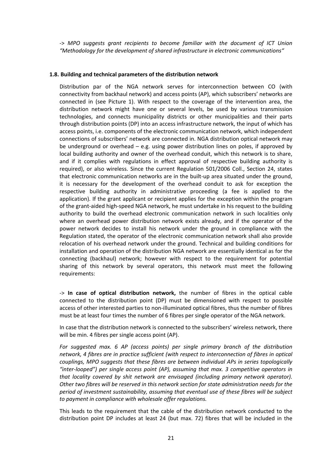-> *MPO suggests grant recipients to become familiar with the document of ICT Union "Methodology for the development of shared infrastructure in electronic communications"*

#### **1.8. Building and technical parameters of the distribution network**

Distribution par of the NGA network serves for interconnection between CO (with connectivity from backhaul network) and access points (AP), which subscribers' networks are connected in (see Picture 1). With respect to the coverage of the intervention area, the distribution network might have one or several levels, be used by various transmission technologies, and connects municipality districts or other municipalities and their parts through distribution points (DP) into an access infrastructure network, the input of which has access points, i.e. components of the electronic communication network, which independent connections of subscribers' network are connected in. NGA distribution optical network may be underground or overhead – e.g. using power distribution lines on poles, if approved by local building authority and owner of the overhead conduit, which this network is to share, and if it complies with regulations in effect approval of respective building authority is required), or also wireless. Since the current Regulation 501/2006 Coll., Section 24, states that electronic communication networks are in the built-up area situated under the ground, it is necessary for the development of the overhead conduit to ask for exception the respective building authority in administrative proceeding (a fee is applied to the application). If the grant applicant or recipient applies for the exception within the program of the grant-aided high-speed NGA network, he must undertake in his request to the building authority to build the overhead electronic communication network in such localities only where an overhead power distribution network exists already, and if the operator of the power network decides to install his network under the ground in compliance with the Regulation stated, the operator of the electronic communication network shall also provide relocation of his overhead network under the ground. Technical and building conditions for installation and operation of the distribution NGA network are essentially identical as for the connecting (backhaul) network; however with respect to the requirement for potential sharing of this network by several operators, this network must meet the following requirements:

-> **In case of optical distribution network,** the number of fibres in the optical cable connected to the distribution point (DP) must be dimensioned with respect to possible access of other interested parties to non-illuminated optical fibres, thus the number of fibres must be at least four times the number of 6 fibres per single operator of the NGA network.

In case that the distribution network is connected to the subscribers' wireless network, there will be min. 4 fibres per single access point (AP).

*For suggested max. 6 AP (access points) per single primary branch of the distribution network, 4 fibres are in practice sufficient (with respect to interconnection of fibres in optical couplings, MPO suggests that these fibres are between individual APs in series topologically "inter-looped") per single access point (AP), assuming that max. 3 competitive operators in that locality covered by shit network are envisaged (including primary network operator). Other two fibres will be reserved in this network section for state administration needs for the period of investment sustainability, assuming that eventual use of these fibres will be subject to payment in compliance with wholesale offer regulations.*

This leads to the requirement that the cable of the distribution network conducted to the distribution point DP includes at least 24 (but max. 72) fibres that will be included in the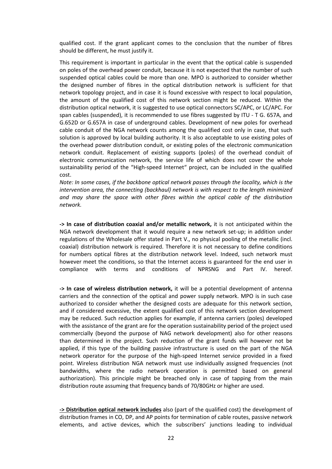qualified cost. If the grant applicant comes to the conclusion that the number of fibres should be different, he must justify it.

This requirement is important in particular in the event that the optical cable is suspended on poles of the overhead power conduit, because it is not expected that the number of such suspended optical cables could be more than one. MPO is authorized to consider whether the designed number of fibres in the optical distribution network is sufficient for that network topology project, and in case it is found excessive with respect to local population, the amount of the qualified cost of this network section might be reduced. Within the distribution optical network, it is suggested to use optical connectors SC/APC, or LC/APC. For span cables (suspended), it is recommended to use fibres suggested by ITU - T G. 657A, and G.652D or G.657A in case of underground cables. Development of new poles for overhead cable conduit of the NGA network counts among the qualified cost only in case, that such solution is approved by local building authority. It is also acceptable to use existing poles of the overhead power distribution conduit, or existing poles of the electronic communication network conduit. Replacement of existing supports (poles) of the overhead conduit of electronic communication network, the service life of which does not cover the whole sustainability period of the "High-speed Internet" project, can be included in the qualified cost.

*Note: In some cases, if the backbone optical network passes through the locality, which is the intervention area, the connecting (backhaul) network is with respect to the length minimized and may share the space with other fibres within the optical cable of the distribution network.*

**-> In case of distribution coaxial and/or metallic network,** it is not anticipated within the NGA network development that it would require a new network set-up; in addition under regulations of the Wholesale offer stated in Part V., no physical pooling of the metallic (incl. coaxial) distribution network is required. Therefore it is not necessary to define conditions for numbers optical fibres at the distribution network level. Indeed, such network must however meet the conditions, so that the Internet access is guaranteed for the end user in compliance with terms and conditions of NPRSNG and Part IV. hereof.

**-> In case of wireless distribution network,** it will be a potential development of antenna carriers and the connection of the optical and power supply network. MPO is in such case authorized to consider whether the designed costs are adequate for this network section, and if considered excessive, the extent qualified cost of this network section development may be reduced. Such reduction applies for example, if antenna carriers (poles) developed with the assistance of the grant are for the operation sustainability period of the project used commercially (beyond the purpose of NAG network development) also for other reasons than determined in the project. Such reduction of the grant funds will however not be applied, if this type of the building passive infrastructure is used on the part of the NGA network operator for the purpose of the high-speed Internet service provided in a fixed point. Wireless distribution NGA network must use individually assigned frequencies (not bandwidths, where the radio network operation is permitted based on general authorization). This principle might be breached only in case of tapping from the main distribution route assuming that frequency bands of 70/80GHz or higher are used.

**-> Distribution optical network includes** also (part of the qualified cost) the development of distribution frames in CO, DP, and AP points for termination of cable routes, passive network elements, and active devices, which the subscribers' junctions leading to individual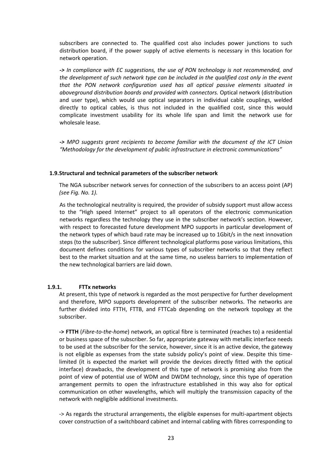subscribers are connected to. The qualified cost also includes power junctions to such distribution board, if the power supply of active elements is necessary in this location for network operation.

*-> In compliance with EC suggestions, the use of PON technology is not recommended, and the development of such network type can be included in the qualified cost only in the event that the PON network configuration used has all optical passive elements situated in aboveground distribution boards and provided with connectors.* Optical network (distribution and user type), which would use optical separators in individual cable couplings, welded directly to optical cables, is thus not included in the qualified cost, since this would complicate investment usability for its whole life span and limit the network use for wholesale lease.

*-> MPO suggests grant recipients to become familiar with the document of the ICT Union "Methodology for the development of public infrastructure in electronic communications"*

#### **1.9.Structural and technical parameters of the subscriber network**

The NGA subscriber network serves for connection of the subscribers to an access point (AP) *(see Fig. No. 1).*

As the technological neutrality is required, the provider of subsidy support must allow access to the "High speed Internet" project to all operators of the electronic communication networks regardless the technology they use in the subscriber network's section. However, with respect to forecasted future development MPO supports in particular development of the network types of which baud rate may be increased up to 1Gbit/s in the next innovation steps (to the subscriber). Since different technological platforms pose various limitations, this document defines conditions for various types of subscriber networks so that they reflect best to the market situation and at the same time, no useless barriers to implementation of the new technological barriers are laid down.

#### **1.9.1. FTTx networks**

At present, this type of network is regarded as the most perspective for further development and therefore, MPO supports development of the subscriber networks. The networks are further divided into FTTH, FTTB, and FTTCab depending on the network topology at the subscriber.

**-> FTTH** (*Fibre-to-the-home*) network, an optical fibre is terminated (reaches to) a residential or business space of the subscriber. So far, appropriate gateway with metallic interface needs to be used at the subscriber for the service, however, since it is an active device, the gateway is not eligible as expenses from the state subsidy policy's point of view. Despite this timelimited (it is expected the market will provide the devices directly fitted with the optical interface) drawbacks, the development of this type of network is promising also from the point of view of potential use of WDM and DWDM technology, since this type of operation arrangement permits to open the infrastructure established in this way also for optical communication on other wavelengths, which will multiply the transmission capacity of the network with negligible additional investments.

-> As regards the structural arrangements, the eligible expenses for multi-apartment objects cover construction of a switchboard cabinet and internal cabling with fibres corresponding to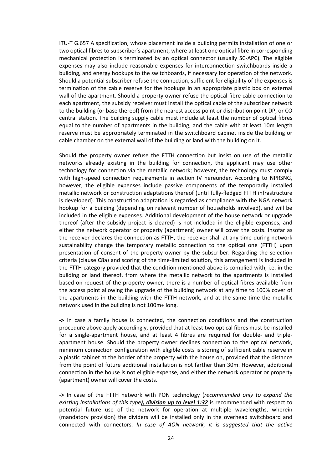ITU-T G.657 A specification, whose placement inside a building permits installation of one or two optical fibres to subscriber's apartment, where at least one optical fibre in corresponding mechanical protection is terminated by an optical connector (usually SC-APC). The eligible expenses may also include reasonable expenses for interconnection switchboards inside a building, and energy hookups to the switchboards, if necessary for operation of the network. Should a potential subscriber refuse the connection, sufficient for eligibility of the expenses is termination of the cable reserve for the hookups in an appropriate plastic box on external wall of the apartment. Should a property owner refuse the optical fibre cable connection to each apartment, the subsidy receiver must install the optical cable of the subscriber network to the building (or base thereof) from the nearest access point or distribution point DP, or CO central station. The building supply cable must include at least the number of optical fibres equal to the number of apartments in the building, and the cable with at least 10m length reserve must be appropriately terminated in the switchboard cabinet inside the building or cable chamber on the external wall of the building or land with the building on it.

Should the property owner refuse the FTTH connection but insist on use of the metallic networks already existing in the building for connection, the applicant may use other technology for connection via the metallic network; however, the technology must comply with high-speed connection requirements in section IV hereunder. According to NPRSNG, however, the eligible expenses include passive components of the temporarily installed metallic network or construction adaptations thereof (until fully-fledged FTTH infrastructure is developed). This construction adaptation is regarded as compliance with the NGA network hookup for a building (depending on relevant number of households involved), and will be included in the eligible expenses. Additional development of the house network or upgrade thereof (after the subsidy project is cleared) is not included in the eligible expenses, and either the network operator or property (apartment) owner will cover the costs. Insofar as the receiver declares the connection as FTTH, the receiver shall at any time during network sustainability change the temporary metallic connection to the optical one (FTTH) upon presentation of consent of the property owner by the subscriber. Regarding the selection criteria (clause C8a) and scoring of the time-limited solution, this arrangement is included in the FTTH category provided that the condition mentioned above is complied with, i.e. in the building or land thereof, from where the metallic network to the apartments is installed based on request of the property owner, there is a number of optical fibres available from the access point allowing the upgrade of the building network at any time to 100% cover of the apartments in the building with the FTTH network, and at the same time the metallic network used in the building is not 100m+ long.

**->** In case a family house is connected, the connection conditions and the construction procedure above apply accordingly, provided that at least two optical fibres must be installed for a single-apartment house, and at least 4 fibres are required for double- and tripleapartment house. Should the property owner declines connection to the optical network, minimum connection configuration with eligible costs is storing of sufficient cable reserve in a plastic cabinet at the border of the property with the house on, provided that the distance from the point of future additional installation is not farther than 30m. However, additional connection in the house is not eligible expense, and either the network operator or property (apartment) owner will cover the costs.

**->** In case of the FTTH network with PON technology (*recommended only to expand the existing installations of this type), division up to level 1:32* is recommended with respect to potential future use of the network for operation at multiple wavelengths, wherein (mandatory provision) the dividers will be installed only in the overhead switchboard and connected with connectors. *In case of AON network, it is suggested that the active*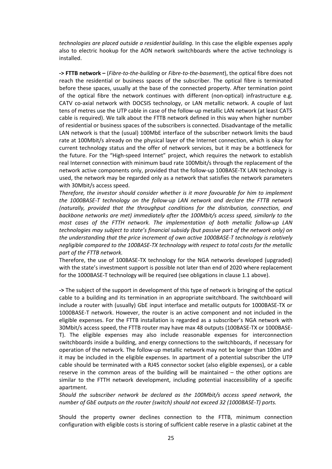*technologies are placed outside a residential building.* In this case the eligible expenses apply also to electric hookup for the AON network switchboards where the active technology is installed.

**-> FTTB network –** (*Fibre-to-the-building* or *Fibre-to-the-basement*), the optical fibre does not reach the residential or business spaces of the subscriber. The optical fibre is terminated before these spaces, usually at the base of the connected property. After termination point of the optical fibre the network continues with different (non-optical) infrastructure e.g. CATV co-axial network with DOCSIS technology, or LAN metallic network. A couple of last tens of metres use the UTP cable in case of the follow-up metallic LAN network (at least CAT5 cable is required). We talk about the FTTB network defined in this way when higher number of residential or business spaces of the subscribers is connected. Disadvantage of the metallic LAN network is that the (usual) 100MbE interface of the subscriber network limits the baud rate at 100Mbit/s already on the physical layer of the Internet connection, which is okay for current technology status and the offer of network services, but it may be a bottleneck for the future. For the "High-speed Internet" project, which requires the network to establish real Internet connection with minimum baud rate 100Mbit/s through the replacement of the network active components only, provided that the follow-up 100BASE-TX LAN technology is used, the network may be regarded only as a network that satisfies the network parameters with 30Mbit/s access speed.

*Therefore, the investor should consider whether is it more favourable for him to implement the 1000BASE-T technology on the follow-up LAN network and declare the FTTB network (naturally, provided that the throughput conditions for the distribution, connection, and backbone networks are met) immediately after the 100Mbit/s access speed, similarly to the most cases of the FTTH network. The implementation of both metallic follow-up LAN technologies may subject to state's financial subsidy (but passive part of the network only) on the understanding that the price increment of own active 1000BASE-T technology is relatively negligible compared to the 100BASE-TX technology with respect to total costs for the metallic part of the FTTB network.*

Therefore, the use of 100BASE-TX technology for the NGA networks developed (upgraded) with the state's investment support is possible not later than end of 2020 where replacement for the 1000BASE-T technology will be required (see obligations in clause 1.1 above).

**->** The subject of the support in development of this type of network is bringing of the optical cable to a building and its termination in an appropriate switchboard. The switchboard will include a router with (usually) GbE input interface and metallic outputs for 1000BASE-TX or 1000BASE-T network. However, the router is an active component and not included in the eligible expenses. For the FTTB installation is regarded as a subscriber's NGA network with 30Mbit/s access speed, the FTTB router may have max 48 outputs (100BASE-TX or 1000BASE-T). The eligible expenses may also include reasonable expenses for interconnection switchboards inside a building, and energy connections to the switchboards, if necessary for operation of the network. The follow-up metallic network may not be longer than 100m and it may be included in the eligible expenses. In apartment of a potential subscriber the UTP cable should be terminated with a RJ45 connector socket (also eligible expenses), or a cable reserve in the common areas of the building will be maintained – the other options are similar to the FTTH network development, including potential inaccessibility of a specific apartment.

*Should the subscriber network be declared as the 100Mbit/s access speed network, the number of GbE outputs on the router (switch) should not exceed 32 (1000BASE-T) ports.*

Should the property owner declines connection to the FTTB, minimum connection configuration with eligible costs is storing of sufficient cable reserve in a plastic cabinet at the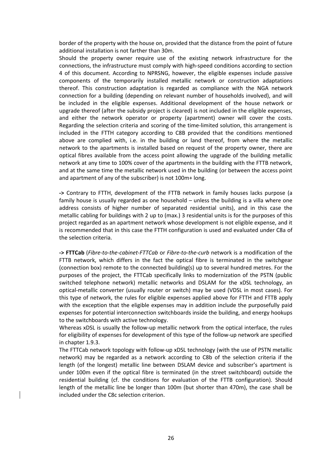border of the property with the house on, provided that the distance from the point of future additional installation is not farther than 30m.

Should the property owner require use of the existing network infrastructure for the connections, the infrastructure must comply with high-speed conditions according to section 4 of this document. According to NPRSNG, however, the eligible expenses include passive components of the temporarily installed metallic network or construction adaptations thereof. This construction adaptation is regarded as compliance with the NGA network connection for a building (depending on relevant number of households involved), and will be included in the eligible expenses. Additional development of the house network or upgrade thereof (after the subsidy project is cleared) is not included in the eligible expenses, and either the network operator or property (apartment) owner will cover the costs. Regarding the selection criteria and scoring of the time-limited solution, this arrangement is included in the FTTH category according to C8B provided that the conditions mentioned above are complied with, i.e. in the building or land thereof, from where the metallic network to the apartments is installed based on request of the property owner, there are optical fibres available from the access point allowing the upgrade of the building metallic network at any time to 100% cover of the apartments in the building with the FTTB network, and at the same time the metallic network used in the building (or between the access point and apartment of any of the subscriber) is not 100m+ long.

**->** Contrary to FTTH, development of the FTTB network in family houses lacks purpose (a family house is usually regarded as one household – unless the building is a villa where one address consists of higher number of separated residential units), and in this case the metallic cabling for buildings with 2 up to (max.) 3 residential units is for the purposes of this project regarded as an apartment network whose development is not eligible expense, and it is recommended that in this case the FTTH configuration is used and evaluated under C8a of the selection criteria.

**-> FTTCab** (*Fibre-to-the-cabinet-FTTCab* or *Fibre-to-the-curb* network is a modification of the FTTB network, which differs in the fact the optical fibre is terminated in the switchgear (connection box) remote to the connected building(s) up to several hundred metres. For the purposes of the project, the FTTCab specifically links to modernization of the PSTN (public switched telephone network) metallic networks and DSLAM for the xDSL technology, an optical-metallic converter (usually router or switch) may be used (VDSL in most cases). For this type of network, the rules for eligible expenses applied above for FTTH and FTTB apply with the exception that the eligible expenses may in addition include the purposefully paid expenses for potential interconnection switchboards inside the building, and energy hookups to the switchboards with active technology.

Whereas xDSL is usually the follow-up metallic network from the optical interface, the rules for eligibility of expenses for development of this type of the follow-up network are specified in chapter 1.9.3.

The FTTCab network topology with follow-up xDSL technology (with the use of PSTN metallic network) may be regarded as a network according to C8b of the selection criteria if the length (of the longest) metallic line between DSLAM device and subscriber's apartment is under 100m even if the optical fibre is terminated (in the street switchboard) outside the residential building (cf. the conditions for evaluation of the FTTB configuration). Should length of the metallic line be longer than 100m (but shorter than 470m), the case shall be included under the C8c selection criterion.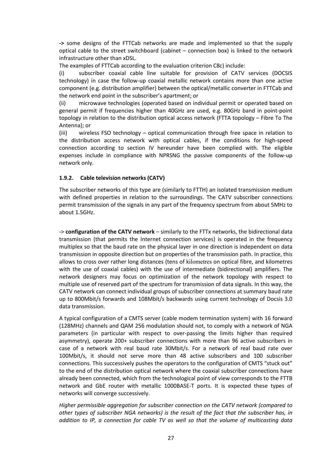**->** some designs of the FTTCab networks are made and implemented so that the supply optical cable to the street switchboard (cabinet – connection box) is linked to the network infrastructure other than xDSL.

The examples of FTTCab according to the evaluation criterion C8c) include:

(i) subscriber coaxial cable line suitable for provision of CATV services (DOCSIS technology) in case the follow-up coaxial metallic network contains more than one active component (e.g. distribution amplifier) between the optical/metallic converter in FTTCab and the network end point in the subscriber's apartment; or

(ii) microwave technologies (operated based on individual permit or operated based on general permit if frequencies higher than 40GHz are used, e.g. 80GHz band in point-point topology in relation to the distribution optical access network (FTTA topology – Fibre To The Antenna); or

(iii) wireless FSO technology – optical communication through free space in relation to the distribution access network with optical cables, if the conditions for high-speed connection according to section IV hereunder have been complied with. The eligible expenses include in compliance with NPRSNG the passive components of the follow-up network only.

### **1.9.2. Cable television networks (CATV)**

The subscriber networks of this type are (similarly to FTTH) an isolated transmission medium with defined properties in relation to the surroundings. The CATV subscriber connections permit transmission of the signals in any part of the frequency spectrum from about 5MHz to about 1.5GHz.

-> **configuration of the CATV network** – similarly to the FTTx networks, the bidirectional data transmission (that permits the Internet connection services) is operated in the frequency multiplex so that the baud rate on the physical layer in one direction is independent on data transmission in opposite direction but on properties of the transmission path. In practice, this allows to cross over rather long distances (tens of kilometres on optical fibre, and kilometres with the use of coaxial cables) with the use of intermediate (bidirectional) amplifiers. The network designers may focus on optimization of the network topology with respect to multiple use of reserved part of the spectrum for transmission of data signals. In this way, the CATV network can connect individual groups of subscriber connections at summary baud rate up to 800Mbit/s forwards and 108Mbit/s backwards using current technology of Docsis 3.0 data transmission.

A typical configuration of a CMTS server (cable modem termination system) with 16 forward (128MHz) channels and QAM 256 modulation should not, to comply with a network of NGA parameters (in particular with respect to over-passing the limits higher than required asymmetry), operate 200+ subscriber connections with more than 96 active subscribers in case of a network with real baud rate 30Mbit/s. For a network of real baud rate over 100Mbit/s, it should not serve more than 48 active subscribers and 100 subscriber connections. This successively pushes the operators to the configuration of CMTS "stuck out" to the end of the distribution optical network where the coaxial subscriber connections have already been connected, which from the technological point of view corresponds to the FTTB network and GbE router with metallic 1000BASE-T ports. It is expected these types of networks will converge successively.

*Higher permissible aggregation for subscriber connection on the CATV network (compared to other types of subscriber NGA networks) is the result of the fact that the subscriber has, in addition to IP, a connection for cable TV as well so that the volume of multicasting data*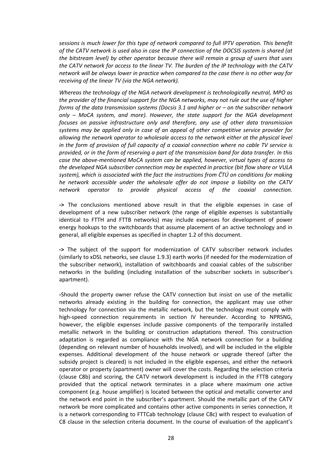*sessions is much lower for this type of network compared to full IPTV operation. This benefit* of the CATV network is used also in case the IP connection of the DOCSIS system is shared (at *the bitstream level) by other operator because there will remain a group of users that uses the CATV network for access to the linear TV. The burden of the IP technology with the CATV network will be always lower in practice when compared to the case there is no other way for receiving of the linear TV (via the NGA network).*

*Whereas the technology of the NGA network development is technologically neutral, MPO as the provider of the financial support for the NGA networks, may not rule out the use of higher forms of the data transmission systems (Docsis 3.1 and higher or – on the subscriber network only – MoCA system, and more). However, the state support for the NGA development focuses on passive infrastructure only and therefore, any use of other data transmission systems may be applied only in case of an appeal of other competitive service provider for allowing the network operator to wholesale access to the network either at the physical level in the form of provision of full capacity of a coaxial connection where no cable TV service is provided, or in the form of reserving a part of the transmission band for data transfer. In this case the above-mentioned MoCA system can be applied, however, virtual types of access to the developed NGA subscriber connection may be expected in practice (bit flow share or VULA system), which is associated with the fact the instructions from ČTÚ on conditions for making he network accessible under the wholesale offer do not impose a liability on the CATV network operator to provide physical access of the coaxial connection.*

**->** The conclusions mentioned above result in that the eligible expenses in case of development of a new subscriber network (the range of eligible expenses is substantially identical to FTTH and FTTB networks) may include expenses for development of power energy hookups to the switchboards that assume placement of an active technology and in general, all eligible expenses as specified in chapter 1.2 of this document.

**->** The subject of the support for modernization of CATV subscriber network includes (similarly to xDSL networks, see clause 1.9.3) earth works (if needed for the modernization of the subscriber network), installation of switchboards and coaxial cables of the subscriber networks in the building (including installation of the subscriber sockets in subscriber's apartment).

**-**Should the property owner refuse the CATV connection but insist on use of the metallic networks already existing in the building for connection, the applicant may use other technology for connection via the metallic network, but the technology must comply with high-speed connection requirements in section IV hereunder. According to NPRSNG, however, the eligible expenses include passive components of the temporarily installed metallic network in the building or construction adaptations thereof. This construction adaptation is regarded as compliance with the NGA network connection for a building (depending on relevant number of households involved), and will be included in the eligible expenses. Additional development of the house network or upgrade thereof (after the subsidy project is cleared) is not included in the eligible expenses, and either the network operator or property (apartment) owner will cover the costs. Regarding the selection criteria (clause C8b) and scoring, the CATV network development is included in the FTTB category provided that the optical network terminates in a place where maximum one active component (e.g. house amplifier) is located between the optical and metallic converter and the network end point in the subscriber's apartment. Should the metallic part of the CATV network be more complicated and contains other active components in series connection, it is a network corresponding to FTTCab technology (clause C8c) with respect to evaluation of C8 clause in the selection criteria document. In the course of evaluation of the applicant's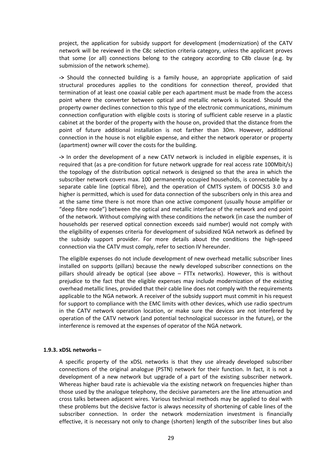project, the application for subsidy support for development (modernization) of the CATV network will be reviewed in the C8c selection criteria category, unless the applicant proves that some (or all) connections belong to the category according to C8b clause (e.g. by submission of the network scheme).

**->** Should the connected building is a family house, an appropriate application of said structural procedures applies to the conditions for connection thereof, provided that termination of at least one coaxial cable per each apartment must be made from the access point where the converter between optical and metallic network is located. Should the property owner declines connection to this type of the electronic communications, minimum connection configuration with eligible costs is storing of sufficient cable reserve in a plastic cabinet at the border of the property with the house on, provided that the distance from the point of future additional installation is not farther than 30m. However, additional connection in the house is not eligible expense, and either the network operator or property (apartment) owner will cover the costs for the building.

**->** In order the development of a new CATV network is included in eligible expenses, it is required that (as a pre-condition for future network upgrade for real access rate 100Mbit/s) the topology of the distribution optical network is designed so that the area in which the subscriber network covers max. 100 permanently occupied households, is connectable by a separate cable line (optical fibre), and the operation of CMTS system of DOCSIS 3.0 and higher is permitted, which is used for data connection of the subscribers only in this area and at the same time there is not more than one active component (usually house amplifier or "deep fibre node") between the optical and metallic interface of the network and end point of the network. Without complying with these conditions the network (in case the number of households per reserved optical connection exceeds said number) would not comply with the eligibility of expenses criteria for development of subsidized NGA network as defined by the subsidy support provider. For more details about the conditions the high-speed connection via the CATV must comply, refer to section IV hereunder.

The eligible expenses do not include development of new overhead metallic subscriber lines installed on supports (pillars) because the newly developed subscriber connections on the pillars should already be optical (see above – FTTx networks). However, this is without prejudice to the fact that the eligible expenses may include modernization of the existing overhead metallic lines, provided that their cable line does not comply with the requirements applicable to the NGA network. A receiver of the subsidy support must commit in his request for support to compliance with the EMC limits with other devices, which use radio spectrum in the CATV network operation location, or make sure the devices are not interfered by operation of the CATV network (and potential technological successor in the future), or the interference is removed at the expenses of operator of the NGA network.

#### **1.9.3. xDSL networks –**

A specific property of the xDSL networks is that they use already developed subscriber connections of the original analogue (PSTN) network for their function. In fact, it is not a development of a new network but upgrade of a part of the existing subscriber network. Whereas higher baud rate is achievable via the existing network on frequencies higher than those used by the analogue telephony, the decisive parameters are the line attenuation and cross talks between adjacent wires. Various technical methods may be applied to deal with these problems but the decisive factor is always necessity of shortening of cable lines of the subscriber connection. In order the network modernization investment is financially effective, it is necessary not only to change (shorten) length of the subscriber lines but also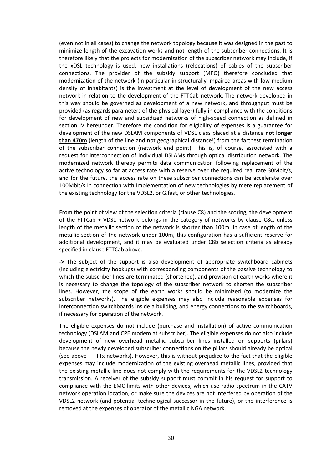(even not in all cases) to change the network topology because it was designed in the past to minimize length of the excavation works and not length of the subscriber connections. It is therefore likely that the projects for modernization of the subscriber network may include, if the xDSL technology is used, new installations (relocations) of cables of the subscriber connections. The provider of the subsidy support (MPO) therefore concluded that modernization of the network (in particular in structurally impaired areas with low medium density of inhabitants) is the investment at the level of development of the new access network in relation to the development of the FTTCab network. The network developed in this way should be governed as development of a new network, and throughput must be provided (as regards parameters of the physical layer) fully in compliance with the conditions for development of new and subsidized networks of high-speed connection as defined in section IV hereunder. Therefore the condition for eligibility of expenses is a guarantee for development of the new DSLAM components of VDSL class placed at a distance **not longer than 470m** (length of the line and not geographical distance!) from the farthest termination of the subscriber connection (network end point). This is, of course, associated with a request for interconnection of individual DSLAMs through optical distribution network. The modernized network thereby permits data communication following replacement of the active technology so far at access rate with a reserve over the required real rate 30Mbit/s, and for the future, the access rate on these subscriber connections can be accelerate over 100Mbit/s in connection with implementation of new technologies by mere replacement of the existing technology for the VDSL2, or G.fast, or other technologies.

From the point of view of the selection criteria (clause C8) and the scoring, the development of the FTTCab + VDSL network belongs in the category of networks by clause C8c, unless length of the metallic section of the network is shorter than 100m. In case of length of the metallic section of the network under 100m, this configuration has a sufficient reserve for additional development, and it may be evaluated under C8b selection criteria as already specified in clause FTTCab above.

**->** The subject of the support is also development of appropriate switchboard cabinets (including electricity hookups) with corresponding components of the passive technology to which the subscriber lines are terminated (shortened), and provision of earth works where it is necessary to change the topology of the subscriber network to shorten the subscriber lines. However, the scope of the earth works should be minimized (to modernize the subscriber networks). The eligible expenses may also include reasonable expenses for interconnection switchboards inside a building, and energy connections to the switchboards, if necessary for operation of the network.

The eligible expenses do not include (purchase and installation) of active communication technology (DSLAM and CPE modem at subscriber). The eligible expenses do not also include development of new overhead metallic subscriber lines installed on supports (pillars) because the newly developed subscriber connections on the pillars should already be optical (see above – FTTx networks). However, this is without prejudice to the fact that the eligible expenses may include modernization of the existing overhead metallic lines, provided that the existing metallic line does not comply with the requirements for the VDSL2 technology transmission. A receiver of the subsidy support must commit in his request for support to compliance with the EMC limits with other devices, which use radio spectrum in the CATV network operation location, or make sure the devices are not interfered by operation of the VDSL2 network (and potential technological successor in the future), or the interference is removed at the expenses of operator of the metallic NGA network.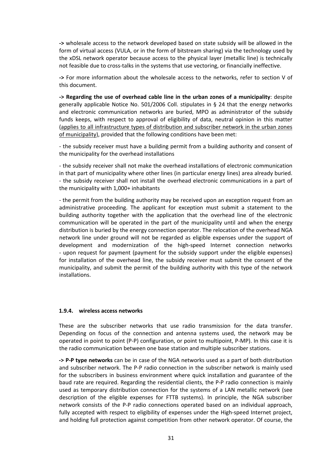**->** wholesale access to the network developed based on state subsidy will be allowed in the form of virtual access (VULA, or in the form of bitstream sharing) via the technology used by the xDSL network operator because access to the physical layer (metallic line) is technically not feasible due to cross-talks in the systems that use vectoring, or financially ineffective.

**->** For more information about the wholesale access to the networks, refer to section V of this document.

**-> Regarding the use of overhead cable line in the urban zones of a municipality**: despite generally applicable Notice No. 501/2006 Coll. stipulates in § 24 that the energy networks and electronic communication networks are buried, MPO as administrator of the subsidy funds keeps, with respect to approval of eligibility of data, neutral opinion in this matter (applies to all infrastructure types of distribution and subscriber network in the urban zones of municipality), provided that the following conditions have been met:

- the subsidy receiver must have a building permit from a building authority and consent of the municipality for the overhead installations

- the subsidy receiver shall not make the overhead installations of electronic communication in that part of municipality where other lines (in particular energy lines) area already buried. - the subsidy receiver shall not install the overhead electronic communications in a part of the municipality with 1,000+ inhabitants

- the permit from the building authority may be received upon an exception request from an administrative proceeding. The applicant for exception must submit a statement to the building authority together with the application that the overhead line of the electronic communication will be operated in the part of the municipality until and when the energy distribution is buried by the energy connection operator. The relocation of the overhead NGA network line under ground will not be regarded as eligible expenses under the support of development and modernization of the high-speed Internet connection networks - upon request for payment (payment for the subsidy support under the eligible expenses) for installation of the overhead line, the subsidy receiver must submit the consent of the municipality, and submit the permit of the building authority with this type of the network installations.

#### **1.9.4. wireless access networks**

These are the subscriber networks that use radio transmission for the data transfer. Depending on focus of the connection and antenna systems used, the network may be operated in point to point (P-P) configuration, or point to multipoint, P-MP). In this case it is the radio communication between one base station and multiple subscriber stations.

**-> P-P type networks** can be in case of the NGA networks used as a part of both distribution and subscriber network. The P-P radio connection in the subscriber network is mainly used for the subscribers in business environment where quick installation and guarantee of the baud rate are required. Regarding the residential clients, the P-P radio connection is mainly used as temporary distribution connection for the systems of a LAN metallic network (see description of the eligible expenses for FTTB systems). In principle, the NGA subscriber network consists of the P-P radio connections operated based on an individual approach, fully accepted with respect to eligibility of expenses under the High-speed Internet project, and holding full protection against competition from other network operator. Of course, the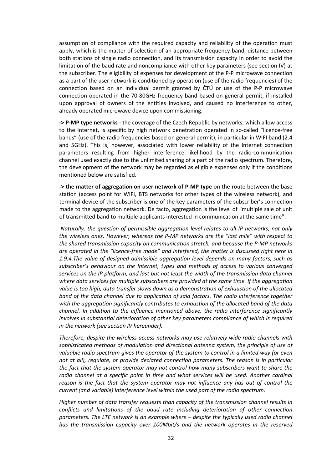assumption of compliance with the required capacity and reliability of the operation must apply, which is the matter of selection of an appropriate frequency band, distance between both stations of single radio connection, and its transmission capacity in order to avoid the limitation of the baud rate and noncompliance with other key parameters (see section IV) at the subscriber. The eligibility of expenses for development of the P-P microwave connection as a part of the user network is conditioned by operation (use of the radio frequencies) of the connection based on an individual permit granted by ČTÚ or use of the P-P microwave connection operated in the 70-80GHz frequency band based on general permit, if installed upon approval of owners of the entities involved, and caused no interference to other, already operated microwave device upon commissioning.

**-> P-MP type networks** - the coverage of the Czech Republic by networks, which allow access to the Internet, is specific by high network penetration operated in so-called "licence-free bands" (use of the radio frequencies based on general permit), in particular in WIFI band (2.4 and 5GHz). This is, however, associated with lower reliability of the Internet connection parameters resulting from higher interference likelihood by the radio-communication channel used exactly due to the unlimited sharing of a part of the radio spectrum. Therefore, the development of the network may be regarded as eligible expenses only if the conditions mentioned below are satisfied.

**-> the matter of aggregation on user network of P-MP type** on the route between the base station (access point for WIFI, BTS networks for other types of the wireless network), and terminal device of the subscriber is one of the key parameters of the subscriber's connection made to the aggregation network. De facto, aggregation is the level of "multiple sale of unit of transmitted band to multiple applicants interested in communication at the same time".

*Naturally, the question of permissible aggregation level relates to all IP networks, not only the wireless ones. However, whereas the P-MP networks are the "last mile" with respect to the shared transmission capacity on communication stretch, and because the P-MP networks are operated in the "licence-free mode" and interfered, the matter is discussed right here in 1.9.4.The value of designed admissible aggregation level depends on many factors, such as subscriber's behaviour on the Internet, types and methods of access to various converged services on the IP platform, and last but not least the width of the transmission data channel where data services for multiple subscribers are provided at the same time. If the aggregation value is too high, data transfer slows down as a demonstration of exhaustion of the allocated band of the data channel due to application of said factors. The radio interference together with the aggregation significantly contributes to exhaustion of the allocated band of the data channel. In addition to the influence mentioned above, the radio interference significantly involves in substantial deterioration of other key parameters compliance of which is required in the network (see section IV hereunder).*

*Therefore, despite the wireless access networks may use relatively wide radio channels with sophisticated methods of modulation and directional antenna system, the principle of use of valuable radio spectrum gives the operator of the system to control in a limited way (or even not at all), regulate, or provide declared connection parameters. The reason is in particular the fact that the system operator may not control how many subscribers want to share the radio channel at a specific point in time and what services will be used. Another cardinal reason is the fact that the system operator may not influence any has out of control the current (and variable) interference level within the used part of the radio spectrum.*

*Higher number of data transfer requests than capacity of the transmission channel results in conflicts and limitations of the baud rate including deterioration of other connection parameters. The LTE network is an example where – despite the typically used radio channel has the transmission capacity over 100Mbit/s and the network operates in the reserved*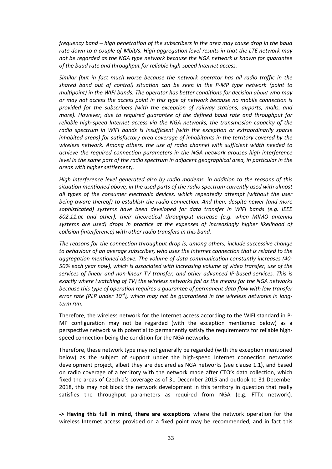*frequency band – high penetration of the subscribers in the area may cause drop in the baud rate down to a couple of Mbit/s. High aggregation level results in that the LTE network may not be regarded as the NGA type network because the NGA network is known for guarantee of the baud rate and throughput for reliable high-speed Internet access.*

*Similar (but in fact much worse because the network operator has all radio traffic in the shared band out of control) situation can be seen in the P-MP type network (point to multipoint) in the WIFI bands. The operator has better conditions for decision about who may or may not access the access point in this type of network because no mobile connection is provided for the subscribers (with the exception of railway stations, airports, malls, and more). However, due to required guarantee of the defined baud rate and throughput for reliable high-speed Internet access via the NGA networks, the transmission capacity of the radio spectrum in WIFI bands is insufficient (with the exception or extraordinarily sparse inhabited areas) for satisfactory area coverage of inhabitants in the territory covered by the wireless network. Among others, the use of radio channel with sufficient width needed to achieve the required connection parameters in the NGA network arouses high interference level in the same part of the radio spectrum in adjacent geographical area, in particular in the areas with higher settlement).*

*High interference level generated also by radio modems, in addition to the reasons of this situation mentioned above, in the used parts of the radio spectrum currently used with almost all types of the consumer electronic devices, which repeatedly attempt (without the user being aware thereof) to establish the radio connection. And then, despite newer (and more sophisticated) systems have been developed for data transfer in WIFI bands (e.g. IEEE 802.11.ac and other), their theoretical throughput increase (e.g. when MIMO antenna systems are used) drops in practice at the expenses of increasingly higher likelihood of collision (interference) with other radio transfers in this band.*

*The reasons for the connection throughput drop is, among others, include successive change to behaviour of an average subscriber, who uses the Internet connection that is related to the aggregation mentioned above. The volume of data communication constantly increases (40- 50% each year now), which is associated with increasing volume of video transfer, use of the services of linear and non-linear TV transfer, and other advanced IP-based services. This is exactly where (watching of TV) the wireless networks fail as the means for the NGA networks because this type of operation requires a guarantee of permanent data flow with low transfer error rate (PLR under 10-4 ), which may not be guaranteed in the wireless networks in longterm run.*

Therefore, the wireless network for the Internet access according to the WIFI standard in P-MP configuration may not be regarded (with the exception mentioned below) as a perspective network with potential to permanently satisfy the requirements for reliable highspeed connection being the condition for the NGA networks.

Therefore, these network type may not generally be regarded (with the exception mentioned below) as the subject of support under the high-speed Internet connection networks development project, albeit they are declared as NGA networks (see clause 1.1), and based on radio coverage of a territory with the network made after CTO's data collection, which fixed the areas of Czechia's coverage as of 31 December 2015 and outlook to 31 December 2018, this may not block the network development in this territory in question that really satisfies the throughput parameters as required from NGA (e.g. FTTx network).

**-> Having this full in mind, there are exceptions** where the network operation for the wireless Internet access provided on a fixed point may be recommended, and in fact this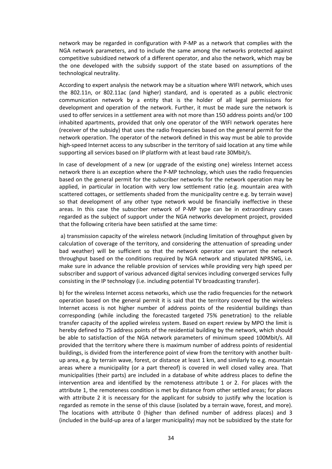network may be regarded in configuration with P-MP as a network that complies with the NGA network parameters, and to include the same among the networks protected against competitive subsidized network of a different operator, and also the network, which may be the one developed with the subsidy support of the state based on assumptions of the technological neutrality.

According to expert analysis the network may be a situation where WIFI network, which uses the 802.11n, or 802.11ac (and higher) standard, and is operated as a public electronic communication network by a entity that is the holder of all legal permissions for development and operation of the network. Further, it must be made sure the network is used to offer services in a settlement area with not more than 150 address points and/or 100 inhabited apartments, provided that only one operator of the WIFI network operates here (receiver of the subsidy) that uses the radio frequencies based on the general permit for the network operation. The operator of the network defined in this way must be able to provide high-speed Internet access to any subscriber in the territory of said location at any time while supporting all services based on IP platform with at least baud rate 30Mbit/s.

In case of development of a new (or upgrade of the existing one) wireless Internet access network there is an exception where the P-MP technology, which uses the radio frequencies based on the general permit for the subscriber networks for the network operation may be applied, in particular in location with very low settlement ratio (e.g. mountain area with scattered cottages, or settlements shaded from the municipality centre e.g. by terrain wave) so that development of any other type network would be financially ineffective in these areas. In this case the subscriber network of P-MP type can be in extraordinary cases regarded as the subject of support under the NGA networks development project, provided that the following criteria have been satisfied at the same time:

a) transmission capacity of the wireless network (including limitation of throughput given by calculation of coverage of the territory, and considering the attenuation of spreading under bad weather) will be sufficient so that the network operator can warrant the network throughput based on the conditions required by NGA network and stipulated NPRSNG, i.e. make sure in advance the reliable provision of services while providing very high speed per subscriber and support of various advanced digital services including converged services fully consisting in the IP technology (i.e. including potential TV broadcasting transfer).

b) for the wireless Internet access networks, which use the radio frequencies for the network operation based on the general permit it is said that the territory covered by the wireless Internet access is not higher number of address points of the residential buildings than corresponding (while including the forecasted targeted 75% penetration) to the reliable transfer capacity of the applied wireless system. Based on expert review by MPO the limit is hereby defined to 75 address points of the residential building by the network, which should be able to satisfaction of the NGA network parameters of minimum speed 100Mbit/s. All provided that the territory where there is maximum number of address points of residential buildings, is divided from the interference point of view from the territory with another builtup area, e.g. by terrain wave, forest, or distance at least 1 km, and similarly to e.g. mountain areas where a municipality (or a part thereof) is covered in well closed valley area. That municipalities (their parts) are included in a database of white address places to define the intervention area and identified by the remoteness attribute 1 or 2. For places with the attribute 1, the remoteness condition is met by distance from other settled areas; for places with attribute 2 it is necessary for the applicant for subsidy to justify why the location is regarded as remote in the sense of this clause (isolated by a terrain wave, forest, and more). The locations with attribute 0 (higher than defined number of address places) and 3 (included in the build-up area of a larger municipality) may not be subsidized by the state for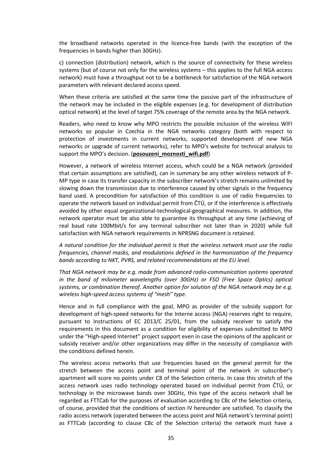the broadband networks operated in the licence-free bands (with the exception of the frequencies in bands higher than 30GHz).

c) connection (distribution) network, which is the source of connectivity for these wireless systems (but of course not only for the wireless systems – this applies to the full NGA access network) must have a throughput not to be a bottleneck for satisfaction of the NGA network parameters with relevant declared access speed.

When these criteria are satisfied at the same time the passive part of the infrastructure of the network may be included in the eligible expenses (e.g. for development of distribution optical network) at the level of target 75% coverage of the remote area by the NGA network.

Readers, who need to know why MPO restricts the possible inclusion of the wireless WIFI networks so popular in Czechia in the NGA networks category (both with respect to protection of investments in current networks, supported development of new NGA networks or upgrade of current networks), refer to MPO's website for technical analysis to support the MPO's decision. (**posouzeni\_moznosti\_wifi.pdf**)

However, a network of wireless Internet access, which could be a NGA network (provided that certain assumptions are satisfied), can in summary be any other wireless network of P-MP type in case its transfer capacity in the subscriber network's stretch remains unlimited by slowing down the transmission due to interference caused by other signals in the frequency band used. A precondition for satisfaction of this condition is use of radio frequencies to operate the network based on individual permit from ČTÚ, or if the interference is effectively avoided by other equal organizational-technological-geographical measures. In addition, the network operator must be also able to guarantee its throughput at any time (achieving of real baud rate 100Mbit/s for any terminal subscriber not later than in 2020) while full satisfaction with NGA network requirements in NPRSNG document is retained.

*A natural condition for the individual permit is that the wireless network must use the radio frequencies, channel masks, and modulations defined in the harmonization of the frequency bands according to NKT, PVRS, and related recommendations at the EU level.*

*That NGA network may be e.g. made from advanced radio-communication systems operated in the band of milometer wavelengths (over 30GHz) or FSO (Free Space Optics) optical systems, or combination thereof. Another option for solution of the NGA network may be e.g. wireless high-speed access systems of "mesh" type.*

Hence and in full compliance with the goal, MPO as provider of the subsidy support for development of high-speed networks for the Interne access (NGA) reserves right to require, pursuant to Instructions of EC 2013/C 25/01, from the subsidy receiver to satisfy the requirements in this document as a condition for eligibility of expenses submitted to MPO under the "High-speed Internet" project support even in case the opinions of the applicant or subsidy receiver and/or other organizations may differ in the necessity of compliance with the conditions defined herein.

The wireless access networks that use frequencies based on the general permit for the stretch between the access point and terminal point of the network in subscriber's apartment will score no points under C8 of the Selection criteria. In case this stretch of the access network uses radio technology operated based on individual permit from ČTÚ, or technology in the microwave bands over 30GHz, this type of the access network shall be regarded as FTTCab for the purposes of evaluation according to C8c of the Selection criteria, of course, provided that the conditions of section IV hereunder are satisfied. To classify the radio access network (operated between the access point and NGA network's terminal point) as FTTCab (according to clause C8c of the Selection criteria) the network must have a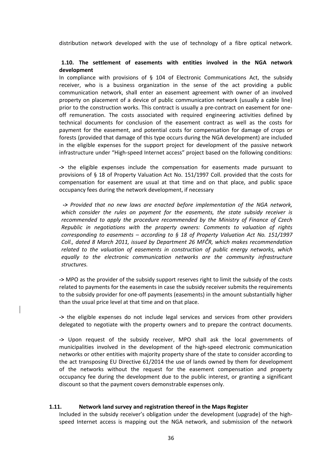distribution network developed with the use of technology of a fibre optical network.

#### **1.10. The settlement of easements with entities involved in the NGA network development**

In compliance with provisions of § 104 of Electronic Communications Act, the subsidy receiver, who is a business organization in the sense of the act providing a public communication network, shall enter an easement agreement with owner of an involved property on placement of a device of public communication network (usually a cable line) prior to the construction works. This contract is usually a pre-contract on easement for oneoff remuneration. The costs associated with required engineering activities defined by technical documents for conclusion of the easement contract as well as the costs for payment for the easement, and potential costs for compensation for damage of crops or forests (provided that damage of this type occurs during the NGA development) are included in the eligible expenses for the support project for development of the passive network infrastructure under "High-speed Internet access" project based on the following conditions:

**->** the eligible expenses include the compensation for easements made pursuant to provisions of § 18 of Property Valuation Act No. 151/1997 Coll. provided that the costs for compensation for easement are usual at that time and on that place, and public space occupancy fees during the network development, if necessary

*-> Provided that no new laws are enacted before implementation of the NGA network, which consider the rules on payment for the easements, the state subsidy receiver is recommended to apply the procedure recommended by the Ministry of Finance of Czech Republic in negotiations with the property owners: Comments to valuation of rights corresponding to easements – according to § 18 of Property Valuation Act No. 151/1997 Coll., dated 8 March 2011, issued by Department 26 MFČR, which makes recommendation related to the valuation of easements in construction of public energy networks, which equally to the electronic communication networks are the community infrastructure structures.*

**->** MPO as the provider of the subsidy support reserves right to limit the subsidy of the costs related to payments for the easements in case the subsidy receiver submits the requirements to the subsidy provider for one-off payments (easements) in the amount substantially higher than the usual price level at that time and on that place.

**->** the eligible expenses do not include legal services and services from other providers delegated to negotiate with the property owners and to prepare the contract documents.

**->** Upon request of the subsidy receiver, MPO shall ask the local governments of municipalities involved in the development of the high-speed electronic communication networks or other entities with majority property share of the state to consider according to the act transposing EU Directive 61/2014 the use of lands owned by them for development of the networks without the request for the easement compensation and property occupancy fee during the development due to the public interest, or granting a significant discount so that the payment covers demonstrable expenses only.

#### **1.11. Network land survey and registration thereof in the Maps Register**

Included in the subsidy receiver's obligation under the development (upgrade) of the highspeed Internet access is mapping out the NGA network, and submission of the network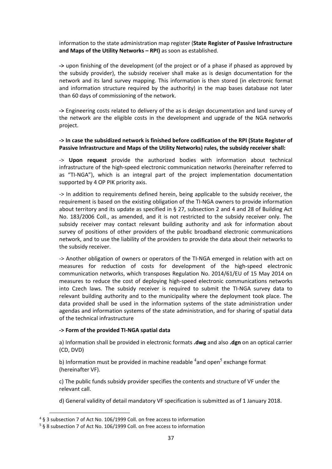information to the state administration map register (**State Register of Passive Infrastructure and Maps of the Utility Networks – RPI)** as soon as established.

**->** upon finishing of the development (of the project or of a phase if phased as approved by the subsidy provider), the subsidy receiver shall make as is design documentation for the network and its land survey mapping. This information is then stored (in electronic format and information structure required by the authority) in the map bases database not later than 60 days of commissioning of the network.

**->** Engineering costs related to delivery of the as is design documentation and land survey of the network are the eligible costs in the development and upgrade of the NGA networks project.

### **-> In case the subsidized network is finished before codification of the RPI (State Register of Passive Infrastructure and Maps of the Utility Networks) rules, the subsidy receiver shall:**

-> **Upon request** provide the authorized bodies with information about technical infrastructure of the high-speed electronic communication networks (hereinafter referred to as "TI-NGA"), which is an integral part of the project implementation documentation supported by 4 OP PIK priority axis.

-> In addition to requirements defined herein, being applicable to the subsidy receiver, the requirement is based on the existing obligation of the TI-NGA owners to provide information about territory and its update as specified in § 27, subsection 2 and 4 and 28 of Building Act No. 183/2006 Coll., as amended, and it is not restricted to the subsidy receiver only. The subsidy receiver may contact relevant building authority and ask for information about survey of positions of other providers of the public broadband electronic communications network, and to use the liability of the providers to provide the data about their networks to the subsidy receiver.

-> Another obligation of owners or operators of the TI-NGA emerged in relation with act on measures for reduction of costs for development of the high-speed electronic communication networks, which transposes Regulation No. 2014/61/EU of 15 May 2014 on measures to reduce the cost of deploying high-speed electronic communications networks into Czech laws. The subsidy receiver is required to submit the TI-NGA survey data to relevant building authority and to the municipality where the deployment took place. The data provided shall be used in the information systems of the state administration under agendas and information systems of the state administration, and for sharing of spatial data of the technical infrastructure

#### **-> Form of the provided TI-NGA spatial data**

a) Information shall be provided in electronic formats **.dwg** and also **.dgn** on an optical carrier (CD, DVD)

b) Information must be provided in machine readable  $^4$ and open<sup>5</sup> exchange format (hereinafter VF).

c) The public funds subsidy provider specifies the contents and structure of VF under the relevant call.

d) General validity of detail mandatory VF specification is submitted as of 1 January 2018.

l

<sup>4</sup> § 3 subsection 7 of Act No. 106/1999 Coll. on free access to information

<sup>5</sup> § 8 subsection 7 of Act No. 106/1999 Coll. on free access to information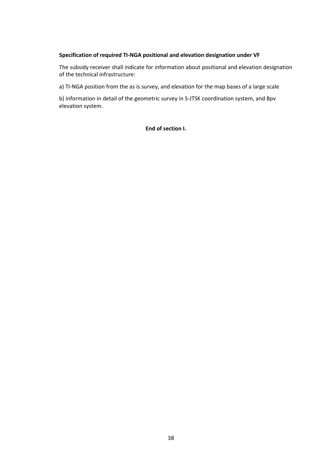#### **Specification of required TI-NGA positional and elevation designation under VF**

The subsidy receiver shall indicate for information about positional and elevation designation of the technical infrastructure:

a) TI-NGA position from the as is survey, and elevation for the map bases of a large scale

b) information in detail of the geometric survey in S-JTSK coordination system, and Bpv elevation system.

**End of section I.**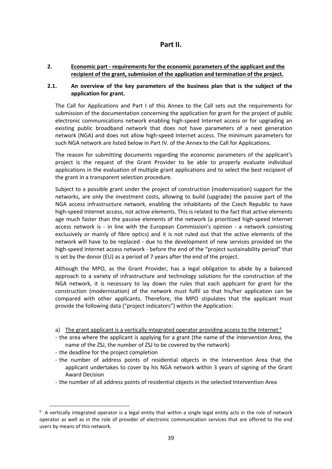# **Part II.**

### **2. Economic part - requirements for the economic parameters of the applicant and the recipient of the grant, submission of the application and termination of the project.**

### **2.1. An overview of the key parameters of the business plan that is the subject of the application for grant.**

The Call for Applications and Part I of this Annex to the Call sets out the requirements for submission of the documentation concerning the application for grant for the project of public electronic communications network enabling high-speed Internet access or for upgrading an existing public broadband network that does not have parameters of a next generation network (NGA) and does not allow high-speed Internet access. The minimum parameters for such NGA network are listed below in Part IV. of the Annex to the Call for Applications.

The reason for submitting documents regarding the economic parameters of the applicant's project is the request of the Grant Provider to be able to properly evaluate individual applications in the evaluation of multiple grant applications and to select the best recipient of the grant in a transparent selection procedure.

Subject to a possible grant under the project of construction (modernization) support for the networks, are only the investment costs, allowing to build (upgrade) the passive part of the NGA access infrastructure network, enabling the inhabitants of the Czech Republic to have high-speed Internet access, not active elements. This is related to the fact that active elements age much faster than the passive elements of the network (a prioritized high-speed Internet access network is - in line with the European Commission's opinion - a network consisting exclusively or mainly of fibre optics) and it is not ruled out that the active elements of the network will have to be replaced - due to the development of new services provided on the high-speed Internet access network - before the end of the "project sustainability period" that is set by the donor (EU) as a period of 7 years after the end of the project.

Although the MPO, as the Grant Provider, has a legal obligation to abide by a balanced approach to a variety of infrastructure and technology solutions for the construction of the NGA network, it is necessary to lay down the rules that each applicant for grant for the construction (modernization) of the network must fulfil so that his/her application can be compared with other applicants. Therefore, the MPO stipulates that the applicant must provide the following data ("project indicators") within the Application:

- a) The grant applicant is a vertically integrated operator providing access to the Internet <sup>6</sup>
- the area where the applicant is applying for a grant (the name of the Intervention Area, the name of the ZSJ, the number of ZSJ to be covered by the network)
- the deadline for the project completion

 $\overline{a}$ 

- the number of address points of residential objects in the Intervention Area that the applicant undertakes to cover by his NGA network within 3 years of signing of the Grant Award Decision
- the number of all address points of residential objects in the selected Intervention Area

 $6\,$  A vertically integrated operator is a legal entity that within a single legal entity acts in the role of network operator as well as in the role of provider of electronic communication services that are offered to the end users by means of this network.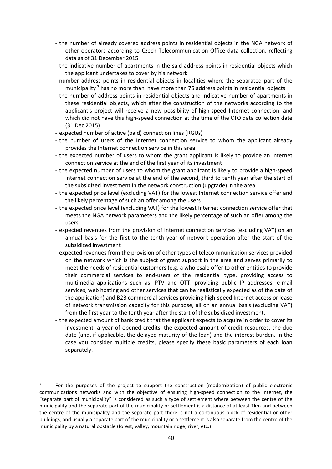- the number of already covered address points in residential objects in the NGA network of other operators according to Czech Telecommunication Office data collection, reflecting data as of 31 December 2015
- the indicative number of apartments in the said address points in residential objects which the applicant undertakes to cover by his network
- number address points in residential objects in localities where the separated part of the municipality<sup>7</sup> has no more than have more than 75 address points in residential objects
- the number of address points in residential objects and indicative number of apartments in these residential objects, which after the construction of the networks according to the applicant's project will receive a new possibility of high-speed Internet connection, and which did not have this high-speed connection at the time of the CTO data collection date (31 Dec 2015)
- expected number of active (paid) connection lines (RGUs)
- the number of users of the Internet connection service to whom the applicant already provides the Internet connection service in this area
- the expected number of users to whom the grant applicant is likely to provide an Internet connection service at the end of the first year of its investment
- the expected number of users to whom the grant applicant is likely to provide a high-speed Internet connection service at the end of the second, third to tenth year after the start of the subsidized investment in the network construction (upgrade) in the area
- the expected price level (excluding VAT) for the lowest Internet connection service offer and the likely percentage of such an offer among the users
- the expected price level (excluding VAT) for the lowest Internet connection service offer that meets the NGA network parameters and the likely percentage of such an offer among the users
- expected revenues from the provision of Internet connection services (excluding VAT) on an annual basis for the first to the tenth year of network operation after the start of the subsidized investment
- expected revenues from the provision of other types of telecommunication services provided on the network which is the subject of grant support in the area and serves primarily to meet the needs of residential customers (e.g. a wholesale offer to other entities to provide their commercial services to end-users of the residential type, providing access to multimedia applications such as IPTV and OTT, providing public IP addresses, e-mail services, web hosting and other services that can be realistically expected as of the date of the application) and B2B commercial services providing high-speed Internet access or lease of network transmission capacity for this purpose, all on an annual basis (excluding VAT) from the first year to the tenth year after the start of the subsidized investment.
- the expected amount of bank credit that the applicant expects to acquire in order to cover its investment, a year of opened credits, the expected amount of credit resources, the due date (and, if applicable, the delayed maturity of the loan) and the interest burden. In the case you consider multiple credits, please specify these basic parameters of each loan separately.

l

<sup>7</sup> For the purposes of the project to support the construction (modernization) of public electronic communications networks and with the objective of ensuring high-speed connection to the Internet, the "separate part of municipality" is considered as such a type of settlement where between the centre of the municipality and the separate part of the municipality or settlement is a distance of at least 1km and between the centre of the municipality and the separate part there is not a continuous block of residential or other buildings, and usually a separate part of the municipality or a settlement is also separate from the centre of the municipality by a natural obstacle (forest, valley, mountain ridge, river, etc.)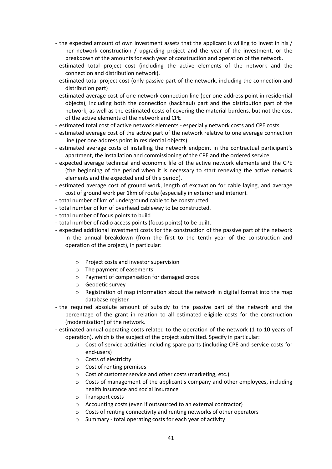- the expected amount of own investment assets that the applicant is willing to invest in his / her network construction / upgrading project and the year of the investment, or the breakdown of the amounts for each year of construction and operation of the network.
- estimated total project cost (including the active elements of the network and the connection and distribution network).
- estimated total project cost (only passive part of the network, including the connection and distribution part)
- estimated average cost of one network connection line (per one address point in residential objects), including both the connection (backhaul) part and the distribution part of the network, as well as the estimated costs of covering the material burdens, but not the cost of the active elements of the network and CPE
- estimated total cost of active network elements especially network costs and CPE costs
- estimated average cost of the active part of the network relative to one average connection line (per one address point in residential objects).
- estimated average costs of installing the network endpoint in the contractual participant's apartment, the installation and commissioning of the CPE and the ordered service
- expected average technical and economic life of the active network elements and the CPE (the beginning of the period when it is necessary to start renewing the active network elements and the expected end of this period).
- estimated average cost of ground work, length of excavation for cable laying, and average cost of ground work per 1km of route (especially in exterior and interior).
- total number of km of underground cable to be constructed.
- total number of km of overhead cableway to be constructed.
- total number of focus points to build
- total number of radio access points (focus points) to be built.
- expected additional investment costs for the construction of the passive part of the network in the annual breakdown (from the first to the tenth year of the construction and operation of the project), in particular:
	- o Project costs and investor supervision
	- o The payment of easements
	- o Payment of compensation for damaged crops
	- o Geodetic survey
	- $\circ$  Registration of map information about the network in digital format into the map database register
- the required absolute amount of subsidy to the passive part of the network and the percentage of the grant in relation to all estimated eligible costs for the construction (modernization) of the network.
- estimated annual operating costs related to the operation of the network (1 to 10 years of operation), which is the subject of the project submitted. Specify in particular:
	- $\circ$  Cost of service activities including spare parts (including CPE and service costs for end-users)
	- o Costs of electricity
	- o Cost of renting premises
	- o Cost of customer service and other costs (marketing, etc.)
	- $\circ$  Costs of management of the applicant's company and other employees, including health insurance and social insurance
	- o Transport costs
	- o Accounting costs (even if outsourced to an external contractor)
	- o Costs of renting connectivity and renting networks of other operators
	- o Summary total operating costs for each year of activity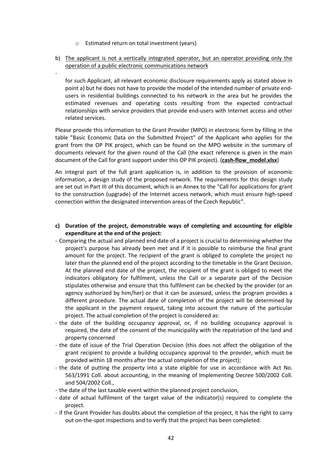o Estimated return on total investment (years)

-

b) The applicant is not a vertically integrated operator, but an operator providing only the operation of a public electronic communications network

for such Applicant, all relevant economic disclosure requirements apply as stated above in point a) but he does not have to provide the model of the intended number of private endusers in residential buildings connected to his network in the area but he provides the estimated revenues and operating costs resulting from the expected contractual relationships with service providers that provide end-users with Internet access and other related services.

Please provide this information to the Grant Provider (MPO) in electronic form by filling in the table "Basic Economic Data on the Submitted Project" of the Applicant who applies for the grant from the OP PIK project, which can be found on the MPO website in the summary of documents relevant for the given round of the Call (the exact reference is given in the main document of the Call for grant support under this OP PIK project). (**cash-flow\_model.xlsx**)

An integral part of the full grant application is, in addition to the provision of economic information, a design study of the proposed network. The requirements for this design study are set out in Part III of this document, which is an Annex to the "Call for applications for grant to the construction (upgrade) of the Internet access network, which must ensure high-speed connection within the designated intervention areas of the Czech Republic".

### **c) Duration of the project, demonstrable ways of completing and accounting for eligible expenditure at the end of the project:**

- Comparing the actual and planned end date of a project is crucial to determining whether the project's purpose has already been met and if it is possible to reimburse the final grant amount for the project. The recipient of the grant is obliged to complete the project no later than the planned end of the project according to the timetable in the Grant Decision. At the planned end date of the project, the recipient of the grant is obliged to meet the indicators obligatory for fulfilment, unless the Call or a separate part of the Decision stipulates otherwise and ensure that this fulfilment can be checked by the provider (or an agency authorized by him/her) or that it can be assessed, unless the program provides a different procedure. The actual date of completion of the project will be determined by the applicant in the payment request, taking into account the nature of the particular project. The actual completion of the project is considered as:
- the date of the building occupancy approval, or, if no building occupancy approval is required, the date of the consent of the municipality with the repatriation of the land and property concerned
- the date of issue of the Trial Operation Decision (this does not affect the obligation of the grant recipient to provide a building occupancy approval to the provider, which must be provided within 18 months after the actual completion of the project);
- the date of putting the property into a state eligible for use in accordance with Act No. 563/1991 Coll. about accounting, in the meaning of Implementing Decree 500/2002 Coll. and 504/2002 Coll.,
- the date of the last taxable event within the planned project conclusion,
- date of actual fulfilment of the target value of the indicator(s) required to complete the project.
- if the Grant Provider has doubts about the completion of the project, it has the right to carry out on-the-spot inspections and to verify that the project has been completed.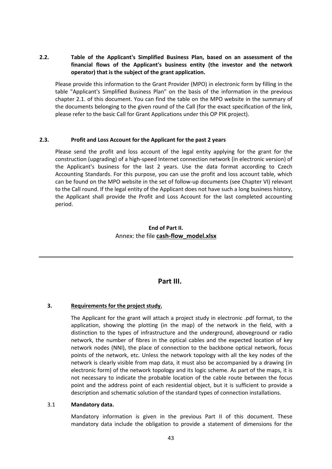### **2.2. Table of the Applicant's Simplified Business Plan, based on an assessment of the financial flows of the Applicant's business entity (the investor and the network operator) that is the subject of the grant application.**

Please provide this information to the Grant Provider (MPO) in electronic form by filling in the table "Applicant's Simplified Business Plan" on the basis of the information in the previous chapter 2.1. of this document. You can find the table on the MPO website in the summary of the documents belonging to the given round of the Call (for the exact specification of the link, please refer to the basic Call for Grant Applications under this OP PIK project).

#### **2.3. Profit and Loss Account for the Applicant for the past 2 years**

Please send the profit and loss account of the legal entity applying for the grant for the construction (upgrading) of a high-speed Internet connection network (in electronic version) of the Applicant's business for the last 2 years. Use the data format according to Czech Accounting Standards. For this purpose, you can use the profit and loss account table, which can be found on the MPO website in the set of follow-up documents (see Chapter VI) relevant to the Call round. If the legal entity of the Applicant does not have such a long business history, the Applicant shall provide the Profit and Loss Account for the last completed accounting period.

### **End of Part II.** Annex: the file **cash-flow\_model.xlsx**

# **Part III.**

### **3. Requirements for the project study.**

The Applicant for the grant will attach a project study in electronic .pdf format, to the application, showing the plotting (in the map) of the network in the field, with a distinction to the types of infrastructure and the underground, aboveground or radio network, the number of fibres in the optical cables and the expected location of key network nodes (NNI), the place of connection to the backbone optical network, focus points of the network, etc. Unless the network topology with all the key nodes of the network is clearly visible from map data, it must also be accompanied by a drawing (in electronic form) of the network topology and its logic scheme. As part of the maps, it is not necessary to indicate the probable location of the cable route between the focus point and the address point of each residential object, but it is sufficient to provide a description and schematic solution of the standard types of connection installations.

#### 3.1 **Mandatory data.**

Mandatory information is given in the previous Part II of this document. These mandatory data include the obligation to provide a statement of dimensions for the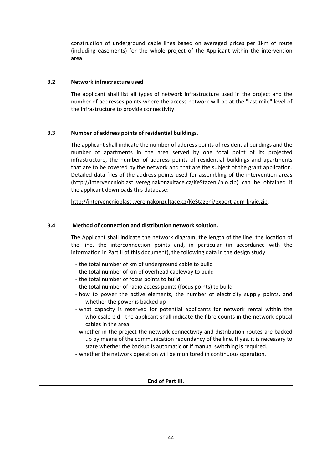construction of underground cable lines based on averaged prices per 1km of route (including easements) for the whole project of the Applicant within the intervention area.

### **3.2 Network infrastructure used**

The applicant shall list all types of network infrastructure used in the project and the number of addresses points where the access network will be at the "last mile" level of the infrastructure to provide connectivity.

### **3.3 Number of address points of residential buildings.**

The applicant shall indicate the number of address points of residential buildings and the number of apartments in the area served by one focal point of its projected infrastructure, the number of address points of residential buildings and apartments that are to be covered by the network and that are the subject of the grant application. Detailed data files of the address points used for assembling of the intervention areas (http://intervencnioblasti.veregjnakonzultace.cz/KeStazeni/nio.zip) can be obtained if the applicant downloads this database:

http://intervencnioblasti.verejnakonzultace.cz/KeStazeni/export-adm-kraje.zip.

### **3.4 Method of connection and distribution network solution.**

The Applicant shall indicate the network diagram, the length of the line, the location of the line, the interconnection points and, in particular (in accordance with the information in Part II of this document), the following data in the design study:

- the total number of km of underground cable to build
- the total number of km of overhead cableway to build
- the total number of focus points to build
- the total number of radio access points (focus points) to build
- how to power the active elements, the number of electricity supply points, and whether the power is backed up
- what capacity is reserved for potential applicants for network rental within the wholesale bid - the applicant shall indicate the fibre counts in the network optical cables in the area
- whether in the project the network connectivity and distribution routes are backed up by means of the communication redundancy of the line. If yes, it is necessary to state whether the backup is automatic or if manual switching is required.
- whether the network operation will be monitored in continuous operation.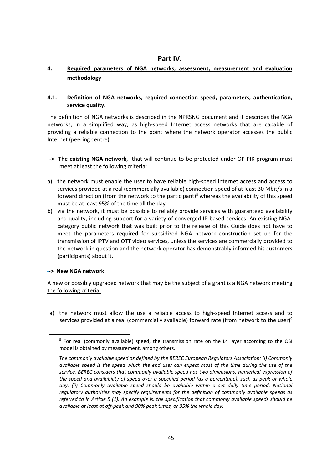# **Part IV.**

# **4. Required parameters of NGA networks, assessment, measurement and evaluation methodology**

### **4.1. Definition of NGA networks, required connection speed, parameters, authentication, service quality.**

The definition of NGA networks is described in the NPRSNG document and it describes the NGA networks, in a simplified way, as high-speed Internet access networks that are capable of providing a reliable connection to the point where the network operator accesses the public Internet (peering centre).

- **-> The existing NGA network**, that will continue to be protected under OP PIK program must meet at least the following criteria:
- a) the network must enable the user to have reliable high-speed Internet access and access to services provided at a real (commercially available) connection speed of at least 30 Mbit/s in a forward direction (from the network to the participant) $8$  whereas the availability of this speed must be at least 95% of the time all the day.
- b) via the network, it must be possible to reliably provide services with guaranteed availability and quality, including support for a variety of converged IP-based services. An existing NGAcategory public network that was built prior to the release of this Guide does not have to meet the parameters required for subsidized NGA network construction set up for the transmission of IPTV and OTT video services, unless the services are commercially provided to the network in question and the network operator has demonstrably informed his customers (participants) about it.

### **-> New NGA network**

 $\overline{a}$ 

A new or possibly upgraded network that may be the subject of a grant is a NGA network meeting the following criteria:

a) the network must allow the use a reliable access to high-speed Internet access and to services provided at a real (commercially available) forward rate (from network to the user)<sup>9</sup>

<sup>&</sup>lt;sup>8</sup> For real (commonly available) speed, the transmission rate on the L4 layer according to the OSI model is obtained by measurement, among others.

*The commonly available speed as defined by the BEREC European Regulators Association: (i) Commonly available speed is the speed which the end user can expect most of the time during the use of the service. BEREC considers that commonly available speed has two dimensions: numerical expression of the speed and availability of speed over a specified period (as a percentage), such as peak or whole*  day. (ii) Commonly available speed should be available within a set daily time period. National *regulatory authorities may specify requirements for the definition of commonly available speeds as referred to in Article 5 (1). An example is: the specification that commonly available speeds should be available at least at off-peak and 90% peak times, or 95% the whole day;*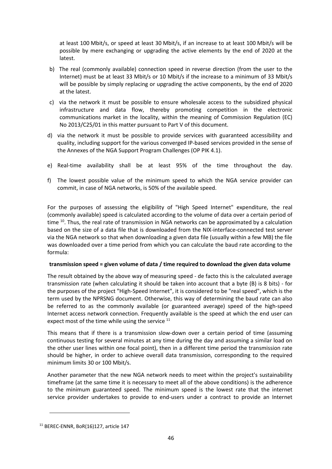at least 100 Mbit/s, or speed at least 30 Mbit/s, if an increase to at least 100 Mbit/s will be possible by mere exchanging or upgrading the active elements by the end of 2020 at the latest.

- b) The real (commonly available) connection speed in reverse direction (from the user to the Internet) must be at least 33 Mbit/s or 10 Mbit/s if the increase to a minimum of 33 Mbit/s will be possible by simply replacing or upgrading the active components, by the end of 2020 at the latest.
- c) via the network it must be possible to ensure wholesale access to the subsidized physical infrastructure and data flow, thereby promoting competition in the electronic communications market in the locality, within the meaning of Commission Regulation (EC) No 2013/C25/01 in this matter pursuant to Part V of this document.
- d) via the network it must be possible to provide services with guaranteed accessibility and quality, including support for the various converged IP-based services provided in the sense of the Annexes of the NGA Support Program Challenges (OP PIK 4.1).
- e) Real-time availability shall be at least 95% of the time throughout the day.
- f) The lowest possible value of the minimum speed to which the NGA service provider can commit, in case of NGA networks, is 50% of the available speed.

For the purposes of assessing the eligibility of "High Speed Internet" expenditure, the real (commonly available) speed is calculated according to the volume of data over a certain period of time <sup>10</sup>. Thus, the real rate of transmission in NGA networks can be approximated by a calculation based on the size of a data file that is downloaded from the NIX-interface-connected test server via the NGA network so that when downloading a given data file (usually within a few MB) the file was downloaded over a time period from which you can calculate the baud rate according to the formula:

#### **transmission speed = given volume of data / time required to download the given data volume**

The result obtained by the above way of measuring speed - de facto this is the calculated average transmission rate (when calculating it should be taken into account that a byte (B) is 8 bits) - for the purposes of the project "High-Speed Internet", it is considered to be "real speed", which is the term used by the NPRSNG document. Otherwise, this way of determining the baud rate can also be referred to as the commonly available (or guaranteed average) speed of the high-speed Internet access network connection. Frequently available is the speed at which the end user can expect most of the time while using the service  $11$ 

This means that if there is a transmission slow-down over a certain period of time (assuming continuous testing for several minutes at any time during the day and assuming a similar load on the other user lines within one focal point), then in a different time period the transmission rate should be higher, in order to achieve overall data transmission, corresponding to the required minimum limits 30 or 100 Mbit/s.

Another parameter that the new NGA network needs to meet within the project's sustainability timeframe (at the same time it is necessary to meet all of the above conditions) is the adherence to the minimum guaranteed speed. The minimum speed is the lowest rate that the internet service provider undertakes to provide to end-users under a contract to provide an Internet

l

<sup>11</sup> BEREC-ENNR, BoR(16)127, article 147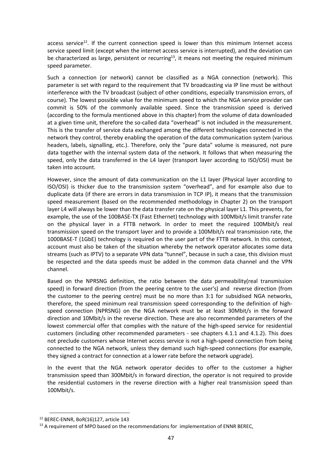access service<sup>12</sup>. If the current connection speed is lower than this minimum Internet access service speed limit (except when the internet access service is interrupted), and the deviation can be characterized as large, persistent or recurring<sup>13</sup>, it means not meeting the required minimum speed parameter.

Such a connection (or network) cannot be classified as a NGA connection (network). This parameter is set with regard to the requirement that TV broadcasting via IP line must be without interference with the TV broadcast (subject of other conditions, especially transmission errors, of course). The lowest possible value for the minimum speed to which the NGA service provider can commit is 50% of the commonly available speed. Since the transmission speed is derived (according to the formula mentioned above in this chapter) from the volume of data downloaded at a given time unit, therefore the so-called data "overhead" is not included in the measurement. This is the transfer of service data exchanged among the different technologies connected in the network they control, thereby enabling the operation of the data communication system (various headers, labels, signalling, etc.). Therefore, only the "pure data" volume is measured, not pure data together with the internal system data of the network. It follows that when measuring the speed, only the data transferred in the L4 layer (transport layer according to ISO/OSI) must be taken into account.

However, since the amount of data communication on the L1 layer (Physical layer according to ISO/OSI) is thicker due to the transmission system "overhead", and for example also due to duplicate data (if there are errors in data transmission in TCP IP), it means that the transmission speed measurement (based on the recommended methodology in Chapter 2) on the transport layer L4 will always be lower than the data transfer rate on the physical layer L1. This prevents, for example, the use of the 100BASE-TX (Fast Ethernet) technology with 100Mbit/s limit transfer rate on the physical layer in a FTTB network. In order to meet the required 100Mbit/s real transmission speed on the transport layer and to provide a 100Mbit/s real transmission rate, the 1000BASE-T (1GbE) technology is required on the user part of the FTTB network. In this context, account must also be taken of the situation whereby the network operator allocates some data streams (such as IPTV) to a separate VPN data "tunnel", because in such a case, this division must be respected and the data speeds must be added in the common data channel and the VPN channel.

Based on the NPRSNG definition, the ratio between the data permeability(real transmission speed) in forward direction (from the peering centre to the user's) and reverse direction (from the customer to the peering centre) must be no more than 3:1 for subsidised NGA networks, therefore, the speed minimum real transmission speed corresponding to the definition of highspeed connection (NPRSNG) on the NGA network must be at least 30Mbit/s in the forward direction and 10Mbit/s in the reverse direction. These are also recommended parameters of the lowest commercial offer that complies with the nature of the high-speed service for residential customers (including other recommended parameters - see chapters 4.1.1 and 4.1.2). This does not preclude customers whose Internet access service is not a high-speed connection from being connected to the NGA network, unless they demand such high-speed connections (for example, they signed a contract for connection at a lower rate before the network upgrade).

In the event that the NGA network operator decides to offer to the customer a higher transmission speed than 300Mbit/s in forward direction, the operator is not required to provide the residential customers in the reverse direction with a higher real transmission speed than 100Mbit/s.

l

<sup>12</sup> BEREC-ENNR, BoR(16)127, article 143

 $13$  A requirement of MPO based on the recommendations for implementation of ENNR BEREC,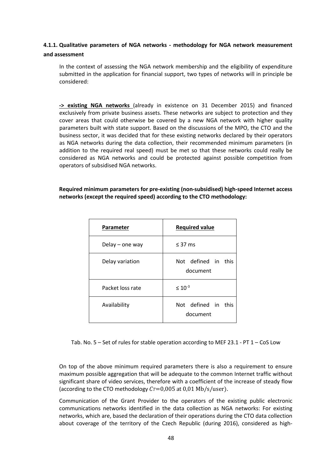# **4.1.1. Qualitative parameters of NGA networks - methodology for NGA network measurement and assessment**

In the context of assessing the NGA network membership and the eligibility of expenditure submitted in the application for financial support, two types of networks will in principle be considered:

**-> existing NGA networks** (already in existence on 31 December 2015) and financed exclusively from private business assets. These networks are subject to protection and they cover areas that could otherwise be covered by a new NGA network with higher quality parameters built with state support. Based on the discussions of the MPO, the CTO and the business sector, it was decided that for these existing networks declared by their operators as NGA networks during the data collection, their recommended minimum parameters (in addition to the required real speed) must be met so that these networks could really be considered as NGA networks and could be protected against possible competition from operators of subsidised NGA networks.

**Required minimum parameters for pre-existing (non-subsidised) high-speed Internet access networks (except the required speed) according to the CTO methodology:**

| Parameter        | <b>Required value</b>              |
|------------------|------------------------------------|
| Delay – one way  | $\leq$ 37 ms                       |
| Delay variation  | Not defined in<br>this<br>document |
| Packet loss rate | $\leq 10^{-3}$                     |
| Availability     | Not defined in this<br>document    |

Tab. No.  $5 -$  Set of rules for stable operation according to MEF 23.1 - PT  $1 -$  CoS Low

On top of the above minimum required parameters there is also a requirement to ensure maximum possible aggregation that will be adequate to the common Internet traffic without significant share of video services, therefore with a coefficient of the increase of steady flow (according to the CTO methodology  $Cr=0,005$  at 0,01 Mb/s/user).

Communication of the Grant Provider to the operators of the existing public electronic communications networks identified in the data collection as NGA networks: For existing networks, which are, based the declaration of their operations during the CTO data collection about coverage of the territory of the Czech Republic (during 2016), considered as high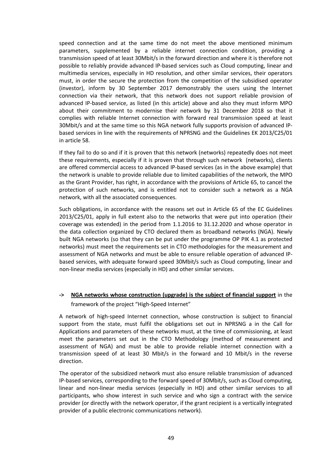speed connection and at the same time do not meet the above mentioned minimum parameters, supplemented by a reliable internet connection condition, providing a transmission speed of at least 30Mbit/s in the forward direction and where it is therefore not possible to reliably provide advanced IP-based services such as Cloud computing, linear and multimedia services, especially in HD resolution, and other similar services, their operators must, in order the secure the protection from the competition of the subsidised operator (investor), inform by 30 September 2017 demonstrably the users using the Internet connection via their network, that this network does not support reliable provision of advanced IP-based service, as listed (in this article) above and also they must inform MPO about their commitment to modernise their network by 31 December 2018 so that it complies with reliable Internet connection with forward real transmission speed at least 30Mbit/s and at the same time so this NGA network fully supports provision of advanced IPbased services in line with the requirements of NPRSNG and the Guidelines EK 2013/C25/01 in article 58.

If they fail to do so and if it is proven that this network (networks) repeatedly does not meet these requirements, especially if it is proven that through such network (networks), clients are offered commercial access to advanced IP-based services (as in the above example) that the network is unable to provide reliable due to limited capabilities of the network, the MPO as the Grant Provider, has right, in accordance with the provisions of Article 65, to cancel the protection of such networks, and is entitled not to consider such a network as a NGA network, with all the associated consequences.

Such obligations, in accordance with the reasons set out in Article 65 of the EC Guidelines 2013/C25/01, apply in full extent also to the networks that were put into operation (their coverage was extended) in the period from 1.1.2016 to 31.12.2020 and whose operator in the data collection organized by CTO declared them as broadband networks (NGA). Newly built NGA networks (so that they can be put under the programme OP PIK 4.1 as protected networks) must meet the requirements set in CTO methodologies for the measurement and assessment of NGA networks and must be able to ensure reliable operation of advanced IPbased services, with adequate forward speed 30Mbit/s such as Cloud computing, linear and non-linear media services (especially in HD) and other similar services.

# **-> NGA networks whose construction (upgrade) is the subject of financial support** in the framework of the project "High-Speed Internet"

A network of high-speed Internet connection, whose construction is subject to financial support from the state, must fulfil the obligations set out in NPRSNG a in the Call for Applications and parameters of these networks must, at the time of commissioning, at least meet the parameters set out in the CTO Methodology (method of measurement and assessment of NGA) and must be able to provide reliable internet connection with a transmission speed of at least 30 Mbit/s in the forward and 10 Mbit/s in the reverse direction.

The operator of the subsidized network must also ensure reliable transmission of advanced IP-based services, corresponding to the forward speed of 30Mbit/s, such as Cloud computing, linear and non-linear media services (especially in HD) and other similar services to all participants, who show interest in such service and who sign a contract with the service provider (or directly with the network operator, if the grant recipient is a vertically integrated provider of a public electronic communications network).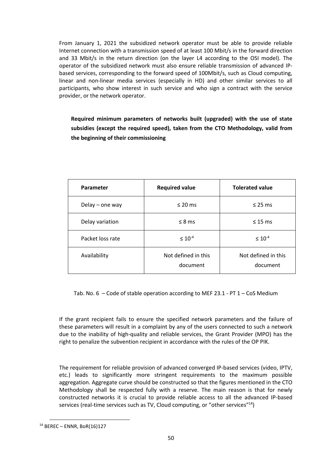From January 1, 2021 the subsidized network operator must be able to provide reliable Internet connection with a transmission speed of at least 100 Mbit/s in the forward direction and 33 Mbit/s in the return direction (on the layer L4 according to the OSI model). The operator of the subsidized network must also ensure reliable transmission of advanced IPbased services, corresponding to the forward speed of 100Mbit/s, such as Cloud computing, linear and non-linear media services (especially in HD) and other similar services to all participants, who show interest in such service and who sign a contract with the service provider, or the network operator.

**Required minimum parameters of networks built (upgraded) with the use of state subsidies (except the required speed), taken from the CTO Methodology, valid from the beginning of their commissioning**

| Parameter         | <b>Required value</b>           | <b>Tolerated value</b>          |
|-------------------|---------------------------------|---------------------------------|
| Delay $-$ one way | $\leq$ 20 ms                    | $\leq$ 25 ms                    |
| Delay variation   | $\leq$ 8 ms                     | $\leq$ 15 ms                    |
| Packet loss rate  | $\leq 10^{-4}$                  | $\leq 10^{-4}$                  |
| Availability      | Not defined in this<br>document | Not defined in this<br>document |

Tab. No.  $6 -$  Code of stable operation according to MEF 23.1 - PT 1 – CoS Medium

If the grant recipient fails to ensure the specified network parameters and the failure of these parameters will result in a complaint by any of the users connected to such a network due to the inability of high-quality and reliable services, the Grant Provider (MPO) has the right to penalize the subvention recipient in accordance with the rules of the OP PIK.

The requirement for reliable provision of advanced converged IP-based services (video, IPTV, etc.) leads to significantly more stringent requirements to the maximum possible aggregation. Aggregate curve should be constructed so that the figures mentioned in the CTO Methodology shall be respected fully with a reserve. The main reason is that for newly constructed networks it is crucial to provide reliable access to all the advanced IP-based services (real-time services such as TV, Cloud computing, or "other services"<sup>14</sup>)

 $\overline{a}$ 

<sup>14</sup> BEREC – ENNR, BoR(16)127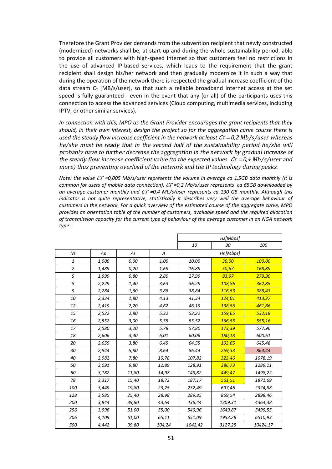Therefore the Grant Provider demands from the subvention recipient that newly constructed (modernized) networks shall be, at start-up and during the whole sustainability period, able to provide all customers with high-speed Internet so that customers feel no restrictions in the use of advanced IP-based services, which leads to the requirement that the grant recipient shall design his/her network and then gradually modernize it in such a way that during the operation of the network there is respected the gradual increase coefficient of the data stream  $C_T$  [MB/s/user], so that such a reliable broadband Internet access at the set speed is fully guaranteed - even in the event that any (or all) of the participants uses this connection to access the advanced services (Cloud computing, multimedia services, including IPTV, or other similar services).

*In connection with this, MPO as the Grant Provider encourages the grant recipients that they should, in their own interest, design the project so for the aggregation curve course there is*  used the steady flow increase coefficient in the network at least  $Cr = 0.2$  Mb/s/user whereas he/she must be ready that in the second half of the sustainability period he/she will probably have to further decrease the aggregation in the network by gradual increase of the steady flow increase coefficient value (to the expected values  $\mathcal{C}\tau = 0.4 \text{ Mb/s/user}$  and more) thus preventing overload of the network and the IP technology during peaks.

*Note: the value CT* =0,005 Mb/s/user represents the volume in average ca 1,5GB data monthly (it is *common for users of mobile data connection), CT =0,2 Mb/s/user represents ca 65GB downloaded by an average customer monthly and =0,4 Mb/s/user represents ca 130 GB monthly. Although this*  indicator is not quite representative, statistically it describes very well the average behaviour of *customers in the network. For a quick overview of the estimated course of the aggregate curve, MPO provides an orientation table of the number of customers, available speed and the required allocation of transmission capacity for the current type of behaviour of the average customer in an NGA network type:*

|                |       |       |        | Hz[Mbps] |          |          |
|----------------|-------|-------|--------|----------|----------|----------|
|                |       |       |        | 10       | 30       | 100      |
| Ns             | Ap    | As    | А      |          | Hn[Mbps] |          |
| 1              | 1,000 | 0,00  | 1,00   | 10,00    | 30,00    | 100,00   |
| $\overline{a}$ | 1,489 | 0,20  | 1,69   | 16,89    | 50,67    | 168,89   |
| 5              | 1,999 | 0,80  | 2,80   | 27,99    | 83,97    | 279,90   |
| 8              | 2,229 | 1,40  | 3,63   | 36,29    | 108,86   | 362,85   |
| 9              | 2,284 | 1,60  | 3,88   | 38,84    | 116,53   | 388,43   |
| 10             | 2,334 | 1,80  | 4,13   | 41,34    | 124,01   | 413,37   |
| 12             | 2,419 | 2,20  | 4,62   | 46,19    | 138,56   | 461,86   |
| 15             | 2,522 | 2,80  | 5,32   | 53,22    | 159,65   | 532,18   |
| 16             | 2,552 | 3,00  | 5,55   | 55,52    | 166,55   | 555,16   |
| 17             | 2,580 | 3,20  | 5,78   | 57,80    | 173,39   | 577,96   |
| 18             | 2,606 | 3,40  | 6,01   | 60,06    | 180,18   | 600,61   |
| 20             | 2,655 | 3,80  | 6,45   | 64,55    | 193,65   | 645,48   |
| 30             | 2,844 | 5,80  | 8,64   | 86,44    | 259,33   | 864,44   |
| 40             | 2,982 | 7,80  | 10,78  | 107,82   | 323,46   | 1078,19  |
| 50             | 3,091 | 9,80  | 12,89  | 128,91   | 386,73   | 1289,11  |
| 60             | 3,182 | 11,80 | 14,98  | 149,82   | 449,47   | 1498,22  |
| 78             | 3,317 | 15,40 | 18,72  | 187,17   | 561,51   | 1871,69  |
| 100            | 3,449 | 19,80 | 23,25  | 232,49   | 697,46   | 2324,88  |
| 128            | 3,585 | 25,40 | 28,98  | 289,85   | 869,54   | 2898,46  |
| 200            | 3,844 | 39,80 | 43,64  | 436,44   | 1309,31  | 4364,38  |
| 256            | 3,996 | 51,00 | 55,00  | 549,96   | 1649,87  | 5499,55  |
| 306            | 4,109 | 61,00 | 65,11  | 651,09   | 1953,28  | 6510,93  |
| 500            | 4,442 | 99,80 | 104,24 | 1042,42  | 3127,25  | 10424,17 |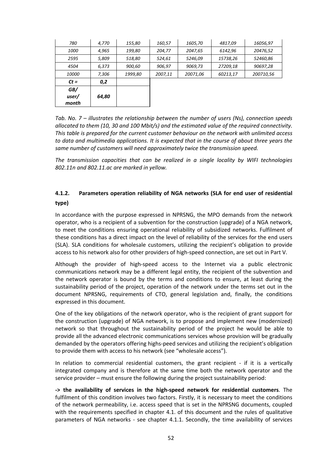| GB/<br>user/<br>month | 64,80 |         |         |          |          |           |
|-----------------------|-------|---------|---------|----------|----------|-----------|
| $Ct =$                | 0,2   |         |         |          |          |           |
| <i>10000</i>          | 7,306 | 1999,80 | 2007,11 | 20071,06 | 60213,17 | 200710,56 |
| 4504                  | 6,373 | 900,60  | 906,97  | 9069,73  | 27209,18 | 90697,28  |
| 2595                  | 5,809 | 518,80  | 524,61  | 5246,09  | 15738,26 | 52460,86  |
| <i>1000</i>           | 4,965 | 199,80  | 204,77  | 2047,65  | 6142,96  | 20476,52  |
| 780                   | 4,770 | 155,80  | 160,57  | 1605,70  | 4817,09  | 16056,97  |

*Tab. No. 7 – illustrates the relationship between the number of users (Ns), connection speeds allocated to them (10, 30 and 100 Mbit/s) and the estimated value of the required connectivity. This table is prepared for the current customer behaviour on the network with unlimited access to data and multimedia applications. It is expected that in the course of about three years the same number of customers will need approximately twice the transmission speed.*

*The transmission capacities that can be realized in a single locality by WIFI technologies 802.11n and 802.11.ac are marked in yellow.*

# **4.1.2. Parameters operation reliability of NGA networks (SLA for end user of residential type)**

In accordance with the purpose expressed in NPRSNG, the MPO demands from the network operator, who is a recipient of a subvention for the construction (upgrade) of a NGA network, to meet the conditions ensuring operational reliability of subsidized networks. Fulfilment of these conditions has a direct impact on the level of reliability of the services for the end users (SLA). SLA conditions for wholesale customers, utilizing the recipient's obligation to provide access to his network also for other providers of high-speed connection, are set out in Part V.

Although the provider of high-speed access to the Internet via a public electronic communications network may be a different legal entity, the recipient of the subvention and the network operator is bound by the terms and conditions to ensure, at least during the sustainability period of the project, operation of the network under the terms set out in the document NPRSNG, requirements of CTO, general legislation and, finally, the conditions expressed in this document.

One of the key obligations of the network operator, who is the recipient of grant support for the construction (upgrade) of NGA network, is to propose and implement new (modernized) network so that throughout the sustainability period of the project he would be able to provide all the advanced electronic communications services whose provision will be gradually demanded by the operators offering highs-peed services and utilizing the recipient's obligation to provide them with access to his network (see "wholesale access").

In relation to commercial residential customers, the grant recipient - if it is a vertically integrated company and is therefore at the same time both the network operator and the service provider – must ensure the following during the project sustainability period:

**-> the availability of services in the high-speed network for residential customers**. The fulfilment of this condition involves two factors. Firstly, it is necessary to meet the conditions of the network permeability, i.e. access speed that is set in the NPRSNG documents, coupled with the requirements specified in chapter 4.1. of this document and the rules of qualitative parameters of NGA networks - see chapter 4.1.1. Secondly, the time availability of services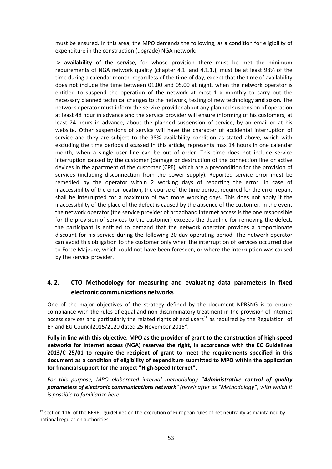must be ensured. In this area, the MPO demands the following, as a condition for eligibility of expenditure in the construction (upgrade) NGA network:

**-> availability of the service**, for whose provision there must be met the minimum requirements of NGA network quality (chapter 4.1. and 4.1.1.), must be at least 98% of the time during a calendar month, regardless of the time of day, except that the time of availability does not include the time between 01.00 and 05.00 at night, when the network operator is entitled to suspend the operation of the network at most 1 x monthly to carry out the necessary planned technical changes to the network, testing of new technology **and so on.** The network operator must inform the service provider about any planned suspension of operation at least 48 hour in advance and the service provider will ensure informing of his customers, at least 24 hours in advance, about the planned suspension of service, by an email or at his website. Other suspensions of service will have the character of accidental interruption of service and they are subject to the 98% availability condition as stated above, which with excluding the time periods discussed in this article, represents max 14 hours in one calendar month, when a single user line can be out of order. This time does not include service interruption caused by the customer (damage or destruction of the connection line or active devices in the apartment of the customer (CPE), which are a precondition for the provision of services (including disconnection from the power supply). Reported service error must be remedied by the operator within 2 working days of reporting the error. In case of inaccessibility of the error location, the course of the time period, required for the error repair, shall be interrupted for a maximum of two more working days. This does not apply if the inaccessibility of the place of the defect is caused by the absence of the customer. In the event the network operator (the service provider of broadband internet access is the one responsible for the provision of services to the customer) exceeds the deadline for removing the defect, the participant is entitled to demand that the network operator provides a proportionate discount for his service during the following 30-day operating period. The network operator can avoid this obligation to the customer only when the interruption of services occurred due to Force Majeure, which could not have been foreseen, or where the interruption was caused by the service provider.

# **4. 2. CTO Methodology for measuring and evaluating data parameters in fixed electronic communications networks**

One of the major objectives of the strategy defined by the document NPRSNG is to ensure compliance with the rules of equal and non-discriminatory treatment in the provision of Internet access services and particularly the related rights of end users<sup>15</sup> as required by the Regulation of EP and EU Council2015/2120 dated 25 November 2015".

**Fully in line with this objective, MPO as the provider of grant to the construction of high-speed networks for Internet access (NGA) reserves the right, in accordance with the EC Guidelines 2013/C 25/01 to require the recipient of grant to meet the requirements specified in this document as a condition of eligibility of expenditure submitted to MPO within the application for financial support for the project "High-Speed Internet".**

*For this purpose, MPO elaborated internal methodology "Administrative control of quality parameters of electronic communications network" (hereinafter as "Methodology") with which it is possible to familiarize here:*

 $\overline{a}$ 

 $15$  section 116. of the BEREC guidelines on the execution of European rules of net neutrality as maintained by national regulation authorities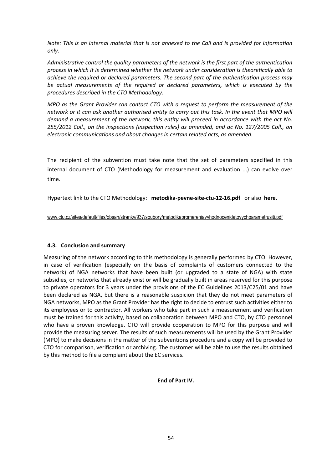*Note: This is an internal material that is not annexed to the Call and is provided for information only.* 

*Administrative control the quality parameters of the network is the first part of the authentication process in which it is determined whether the network under consideration is theoretically able to achieve the required or declared parameters. The second part of the authentication process may be actual measurements of the required or declared parameters, which is executed by the procedures described in the CTO Methodology.*

*MPO as the Grant Provider can contact CTO with a request to perform the measurement of the network or it can ask another authorised entity to carry out this task. In the event that MPO will demand a measurement of the network, this entity will proceed in accordance with the act No. 255/2012 Coll., on the inspections (inspection rules) as amended, and ac No. 127/2005 Coll., on electronic communications and about changes in certain related acts, as amended.*

The recipient of the subvention must take note that the set of parameters specified in this internal document of CTO (Methodology for measurement and evaluation ...) can evolve over time.

Hypertext link to the CTO Methodology: **metodika-pevne-site-ctu-12-16.pdf** or also **here**.

www.ctu.cz/sites/default/files/obsah/stranky/937/soubory/metodikapromereniavyhodnocenidatovychparametrusiti.pdf

### **4.3. Conclusion and summary**

Measuring of the network according to this methodology is generally performed by CTO. However, in case of verification (especially on the basis of complaints of customers connected to the network) of NGA networks that have been built (or upgraded to a state of NGA) with state subsidies, or networks that already exist or will be gradually built in areas reserved for this purpose to private operators for 3 years under the provisions of the EC Guidelines 2013/C25/01 and have been declared as NGA, but there is a reasonable suspicion that they do not meet parameters of NGA networks, MPO as the Grant Provider has the right to decide to entrust such activities either to its employees or to contractor. All workers who take part in such a measurement and verification must be trained for this activity, based on collaboration between MPO and CTO, by CTO personnel who have a proven knowledge. CTO will provide cooperation to MPO for this purpose and will provide the measuring server. The results of such measurements will be used by the Grant Provider (MPO) to make decisions in the matter of the subventions procedure and a copy will be provided to CTO for comparison, verification or archiving. The customer will be able to use the results obtained by this method to file a complaint about the EC services.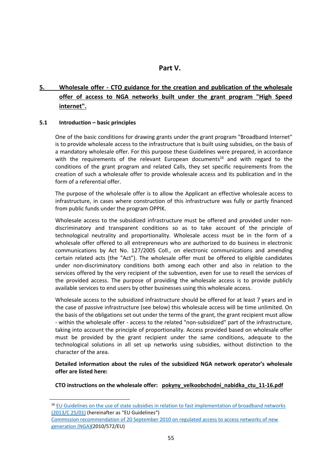# **Part V.**

# **5. Wholesale offer - CTO guidance for the creation and publication of the wholesale offer of access to NGA networks built under the grant program "High Speed internet".**

### **5.1 Introduction – basic principles**

l

One of the basic conditions for drawing grants under the grant program "Broadband Internet" is to provide wholesale access to the infrastructure that is built using subsidies, on the basis of a mandatory wholesale offer. For this purpose these Guidelines were prepared, in accordance with the requirements of the relevant European documents<sup>16</sup> and with regard to the conditions of the grant program and related Calls, they set specific requirements from the creation of such a wholesale offer to provide wholesale access and its publication and in the form of a referential offer.

The purpose of the wholesale offer is to allow the Applicant an effective wholesale access to infrastructure, in cases where construction of this infrastructure was fully or partly financed from public funds under the program OPPIK.

Wholesale access to the subsidized infrastructure must be offered and provided under nondiscriminatory and transparent conditions so as to take account of the principle of technological neutrality and proportionality. Wholesale access must be in the form of a wholesale offer offered to all entrepreneurs who are authorized to do business in electronic communications by Act No. 127/2005 Coll., on electronic communications and amending certain related acts (the "Act"). The wholesale offer must be offered to eligible candidates under non-discriminatory conditions both among each other and also in relation to the services offered by the very recipient of the subvention, even for use to resell the services of the provided access. The purpose of providing the wholesale access is to provide publicly available services to end users by other businesses using this wholesale access.

Wholesale access to the subsidized infrastructure should be offered for at least 7 years and in the case of passive infrastructure (see below) this wholesale access will be time unlimited. On the basis of the obligations set out under the terms of the grant, the grant recipient must allow - within the wholesale offer - access to the related "non-subsidized" part of the infrastructure, taking into account the principle of proportionality. Access provided based on wholesale offer must be provided by the grant recipient under the same conditions, adequate to the technological solutions in all set up networks using subsidies, without distinction to the character of the area.

**Detailed information about the rules of the subsidized NGA network operator's wholesale offer are listed here:**

CTO instructions on the wholesale offer: pokyny\_velkoobchodni\_nabidka\_ctu\_11-16.pdf

<sup>&</sup>lt;sup>16</sup> EU Guidelines on the use of state subsidies in relation to fast implementation of broadband networks (2013/C 25/01) (hereinafter as "EU Guidelines")

Commission recommendation of 20 September 2010 on regulated access to access networks of new generation (NGA)(2010/572/EU)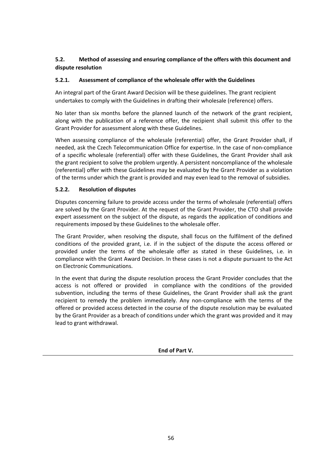# **5.2. Method of assessing and ensuring compliance of the offers with this document and dispute resolution**

### **5.2.1. Assessment of compliance of the wholesale offer with the Guidelines**

An integral part of the Grant Award Decision will be these guidelines. The grant recipient undertakes to comply with the Guidelines in drafting their wholesale (reference) offers.

No later than six months before the planned launch of the network of the grant recipient, along with the publication of a reference offer, the recipient shall submit this offer to the Grant Provider for assessment along with these Guidelines.

When assessing compliance of the wholesale (referential) offer, the Grant Provider shall, if needed, ask the Czech Telecommunication Office for expertise. In the case of non-compliance of a specific wholesale (referential) offer with these Guidelines, the Grant Provider shall ask the grant recipient to solve the problem urgently. A persistent noncompliance of the wholesale (referential) offer with these Guidelines may be evaluated by the Grant Provider as a violation of the terms under which the grant is provided and may even lead to the removal of subsidies.

### **5.2.2. Resolution of disputes**

Disputes concerning failure to provide access under the terms of wholesale (referential) offers are solved by the Grant Provider. At the request of the Grant Provider, the CTO shall provide expert assessment on the subject of the dispute, as regards the application of conditions and requirements imposed by these Guidelines to the wholesale offer.

The Grant Provider, when resolving the dispute, shall focus on the fulfilment of the defined conditions of the provided grant, i.e. if in the subject of the dispute the access offered or provided under the terms of the wholesale offer as stated in these Guidelines, i.e. in compliance with the Grant Award Decision. In these cases is not a dispute pursuant to the Act on Electronic Communications.

In the event that during the dispute resolution process the Grant Provider concludes that the access is not offered or provided in compliance with the conditions of the provided subvention, including the terms of these Guidelines, the Grant Provider shall ask the grant recipient to remedy the problem immediately. Any non-compliance with the terms of the offered or provided access detected in the course of the dispute resolution may be evaluated by the Grant Provider as a breach of conditions under which the grant was provided and it may lead to grant withdrawal.

**End of Part V.**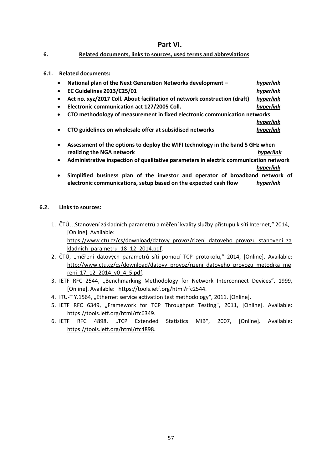# **Part VI.**

#### **6. Related documents, links to sources, used terms and abbreviations**

**6.1. Related documents:**

| National plan of the Next Generation Networks development -<br>$\bullet$                    | hyperlink |
|---------------------------------------------------------------------------------------------|-----------|
| <b>EC Guidelines 2013/C25/01</b><br>$\bullet$                                               | hyperlink |
| Act no. xyz/2017 Coll. About facilitation of network construction (draft)<br>$\bullet$      | hyperlink |
| Electronic communication act 127/2005 Coll.<br>$\bullet$                                    | hyperlink |
| CTO methodology of measurement in fixed electronic communication networks<br>$\bullet$      |           |
|                                                                                             | hyperlink |
| CTO guidelines on wholesale offer at subsidised networks<br>$\bullet$                       | hyperlink |
| Assessment of the options to deploy the WIFI technology in the band 5 GHz when<br>$\bullet$ |           |
| realizing the NGA network                                                                   |           |

- **Administrative inspection of qualitative parameters in electric communication network** *hyperlink*
- **Simplified business plan of the investor and operator of broadband network of electronic communications, setup based on the expected cash flow** *hyperlink*

### **6.2. Links to sources:**

- 1. ČTÚ, "Stanovení základních parametrů a měření kvality služby přístupu k síti Internet," 2014, [Online]. Available: https://www.ctu.cz/cs/download/datovy\_provoz/rizeni\_datoveho\_provozu\_stanoveni\_za kladnich parametru 18 12 2014.pdf.
- 2. ČTÚ, "měření datových parametrů sítí pomocí TCP protokolu," 2014, [Online]. Available: http://www.ctu.cz/cs/download/datovy\_provoz/rizeni\_datoveho\_provozu\_metodika\_me reni\_17\_12\_2014\_v0\_4\_5.pdf.
- 3. IETF RFC 2544, "Benchmarking Methodology for Network Interconnect Devices", 1999, [Online]. Available: https://tools.ietf.org/html/rfc2544.
- 4. ITU-T Y.1564, "Ethernet service activation test methodology", 2011. [Online].
- 5. IETF RFC 6349, "Framework for TCP Throughput Testing", 2011, [Online]. Available: https://tools.ietf.org/html/rfc6349.
- 6. IETF RFC 4898, "TCP Extended Statistics MIB", 2007, [Online]. Available: https://tools.ietf.org/html/rfc4898.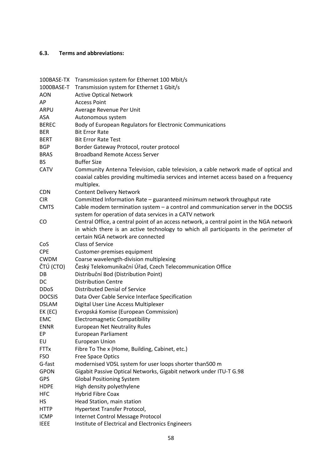## **6.3. Terms and abbreviations:**

| 100BASE-TX    | Transmission system for Ethernet 100 Mbit/s                                                                                                                                                |
|---------------|--------------------------------------------------------------------------------------------------------------------------------------------------------------------------------------------|
| 1000BASE-T    | Transmission system for Ethernet 1 Gbit/s                                                                                                                                                  |
| <b>AON</b>    | <b>Active Optical Network</b>                                                                                                                                                              |
| AP            | <b>Access Point</b>                                                                                                                                                                        |
| ARPU          | Average Revenue Per Unit                                                                                                                                                                   |
| ASA           | Autonomous system                                                                                                                                                                          |
| <b>BEREC</b>  | Body of European Regulators for Electronic Communications                                                                                                                                  |
| <b>BER</b>    | <b>Bit Error Rate</b>                                                                                                                                                                      |
| <b>BERT</b>   | <b>Bit Error Rate Test</b>                                                                                                                                                                 |
| <b>BGP</b>    | Border Gateway Protocol, router protocol                                                                                                                                                   |
| <b>BRAS</b>   | <b>Broadband Remote Access Server</b>                                                                                                                                                      |
| <b>BS</b>     | <b>Buffer Size</b>                                                                                                                                                                         |
| <b>CATV</b>   | Community Antenna Television, cable television, a cable network made of optical and<br>coaxial cables providing multimedia services and internet access based on a frequency<br>multiplex. |
| <b>CDN</b>    | <b>Content Delivery Network</b>                                                                                                                                                            |
| <b>CIR</b>    | Committed Information Rate - guaranteed minimum network throughput rate                                                                                                                    |
| <b>CMTS</b>   | Cable modem termination system $-$ a control and communication server in the DOCSIS<br>system for operation of data services in a CATV network                                             |
| CO            | Central Office, a central point of an access network, a central point in the NGA network                                                                                                   |
|               | in which there is an active technology to which all participants in the perimeter of                                                                                                       |
|               | certain NGA network are connected                                                                                                                                                          |
| CoS           | <b>Class of Service</b>                                                                                                                                                                    |
| <b>CPE</b>    | Customer-premises equipment                                                                                                                                                                |
| <b>CWDM</b>   | Coarse wavelength-division multiplexing                                                                                                                                                    |
| ČTÚ (CTO)     | Český Telekomunikační Úřad, Czech Telecommunication Office                                                                                                                                 |
| DB            | Distribuční Bod (Distribution Point)                                                                                                                                                       |
| DC            | <b>Distribution Centre</b>                                                                                                                                                                 |
| <b>DDoS</b>   | Distributed Denial of Service                                                                                                                                                              |
| <b>DOCSIS</b> | Data Over Cable Service Interface Specification                                                                                                                                            |
| <b>DSLAM</b>  | Digital User Line Access Multiplexer                                                                                                                                                       |
| EK (EC)       | Evropská Komise (European Commission)                                                                                                                                                      |
| <b>EMC</b>    | <b>Electromagnetic Compatibility</b>                                                                                                                                                       |
| <b>ENNR</b>   | <b>European Net Neutrality Rules</b>                                                                                                                                                       |
| EP            | European Parliament                                                                                                                                                                        |
| EU            | <b>European Union</b>                                                                                                                                                                      |
| <b>FTTx</b>   | Fibre To The x (Home, Building, Cabinet, etc.)                                                                                                                                             |
| <b>FSO</b>    | <b>Free Space Optics</b>                                                                                                                                                                   |
| G-fast        | modernised VDSL system for user loops shorter than500 m                                                                                                                                    |
| <b>GPON</b>   | Gigabit Passive Optical Networks, Gigabit network under ITU-T G.98                                                                                                                         |
| GPS           | <b>Global Positioning System</b>                                                                                                                                                           |
| <b>HDPE</b>   | High density polyethylene                                                                                                                                                                  |
| <b>HFC</b>    | <b>Hybrid Fibre Coax</b>                                                                                                                                                                   |
| НS            | Head Station, main station                                                                                                                                                                 |
| <b>HTTP</b>   | Hypertext Transfer Protocol,                                                                                                                                                               |
| <b>ICMP</b>   | Internet Control Message Protocol                                                                                                                                                          |
| <b>IEEE</b>   | Institute of Electrical and Electronics Engineers                                                                                                                                          |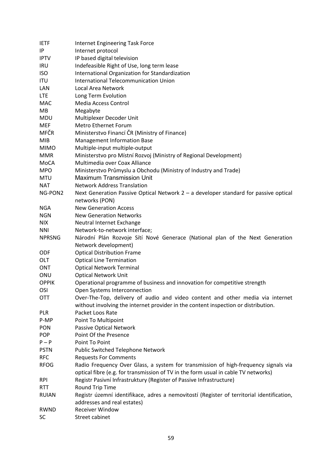| <b>IETF</b>   | <b>Internet Engineering Task Force</b>                                                    |
|---------------|-------------------------------------------------------------------------------------------|
| IP            | Internet protocol                                                                         |
| <b>IPTV</b>   | IP based digital television                                                               |
| <b>IRU</b>    | Indefeasible Right of Use, long term lease                                                |
| <b>ISO</b>    | International Organization for Standardization                                            |
| <b>ITU</b>    | International Telecommunication Union                                                     |
| LAN           | Local Area Network                                                                        |
| <b>LTE</b>    | Long Term Evolution                                                                       |
| <b>MAC</b>    | Media Access Control                                                                      |
| MB            | Megabyte                                                                                  |
| <b>MDU</b>    | Multiplexer Decoder Unit                                                                  |
| <b>MEF</b>    | Metro Ethernet Forum                                                                      |
| <b>MFČR</b>   | Ministerstvo Financí ČR (Ministry of Finance)                                             |
| <b>MIB</b>    | <b>Management Information Base</b>                                                        |
| <b>MIMO</b>   | Multiple-input multiple-output                                                            |
| <b>MMR</b>    | Ministerstvo pro Místní Rozvoj (Ministry of Regional Development)                         |
| MoCA          | Multimedia over Coax Alliance                                                             |
| <b>MPO</b>    | Ministerstvo Průmyslu a Obchodu (Ministry of Industry and Trade)                          |
| <b>MTU</b>    | <b>Maximum Transmission Unit</b>                                                          |
| <b>NAT</b>    | <b>Network Address Translation</b>                                                        |
| NG-PON2       | Next Generation Passive Optical Network $2 - a$ developer standard for passive optical    |
|               | networks (PON)                                                                            |
| <b>NGA</b>    | <b>New Generation Access</b>                                                              |
| <b>NGN</b>    | <b>New Generation Networks</b>                                                            |
| <b>NIX</b>    | Neutral Internet Exchange                                                                 |
| <b>NNI</b>    | Network-to-network interface;                                                             |
| <b>NPRSNG</b> | Národní Plán Rozvoje Sítí Nové Generace (National plan of the Next Generation             |
|               | Network development)                                                                      |
| <b>ODF</b>    | <b>Optical Distribution Frame</b>                                                         |
| OLT           | <b>Optical Line Termination</b>                                                           |
| <b>ONT</b>    | <b>Optical Network Terminal</b>                                                           |
| ONU           | <b>Optical Network Unit</b>                                                               |
| <b>OPPIK</b>  | Operational programme of business and innovation for competitive strength                 |
| OSI           | Open Systems Interconnection                                                              |
| OTT           | Over-The-Top, delivery of audio and video content and other media via internet            |
|               | without involving the internet provider in the content inspection or distribution.        |
| <b>PLR</b>    | Packet Loos Rate                                                                          |
| P-MP          | Point To Multipoint                                                                       |
| <b>PON</b>    | Passive Optical Network                                                                   |
| <b>POP</b>    | Point Of the Presence                                                                     |
| $P - P$       | Point To Point                                                                            |
| <b>PSTN</b>   |                                                                                           |
| <b>RFC</b>    | Public Switched Telephone Network                                                         |
|               | <b>Requests For Comments</b>                                                              |
| <b>RFOG</b>   | Radio Frequency Over Glass, a system for transmission of high-frequency signals via       |
|               | optical fibre (e.g. for transmission of TV in the form usual in cable TV networks)        |
| <b>RPI</b>    | Registr Pasivní Infrastruktury (Register of Passive Infrastructure)                       |
| <b>RTT</b>    | Round Trip Time                                                                           |
| <b>RUIAN</b>  | Registr územní identifikace, adres a nemovitostí (Register of territorial identification, |
|               | addresses and real estates)                                                               |
| RWND          | <b>Receiver Window</b>                                                                    |
| <b>SC</b>     | Street cabinet                                                                            |